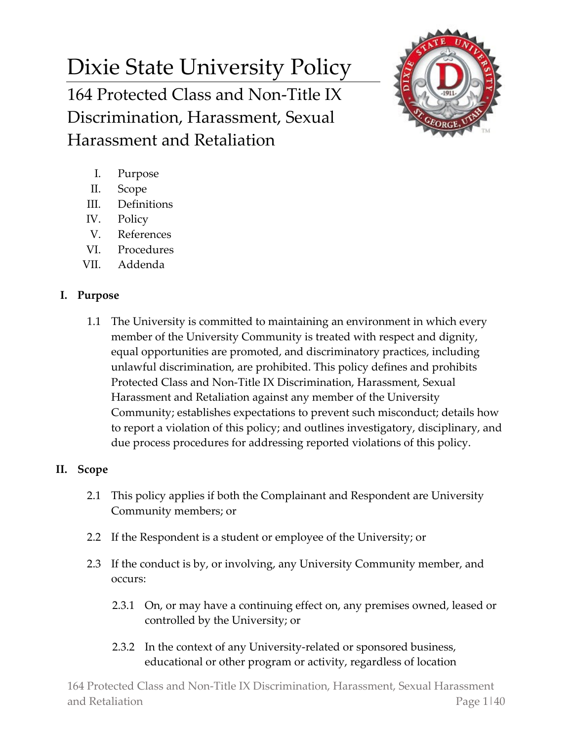# Dixie State University Policy 164 Protected Class and Non-Title IX Discrimination, Harassment, Sexual Harassment and Retaliation



- I. Purpose
- II. Scope
- III. Definitions
- IV. Policy
- V. References
- VI. Procedures
- VII. Addenda

# **I. Purpose**

1.1 The University is committed to maintaining an environment in which every member of the University Community is treated with respect and dignity, equal opportunities are promoted, and discriminatory practices, including unlawful discrimination, are prohibited. This policy defines and prohibits Protected Class and Non-Title IX Discrimination, Harassment, Sexual Harassment and Retaliation against any member of the University Community; establishes expectations to prevent such misconduct; details how to report a violation of this policy; and outlines investigatory, disciplinary, and due process procedures for addressing reported violations of this policy.

# **II. Scope**

- 2.1 This policy applies if both the Complainant and Respondent are University Community members; or
- 2.2 If the Respondent is a student or employee of the University; or
- 2.3 If the conduct is by, or involving, any University Community member, and occurs:
	- 2.3.1 On, or may have a continuing effect on, any premises owned, leased or controlled by the University; or
	- 2.3.2 In the context of any University-related or sponsored business, educational or other program or activity, regardless of location

164 Protected Class and Non-Title IX Discrimination, Harassment, Sexual Harassment and Retaliation **Page 1|40**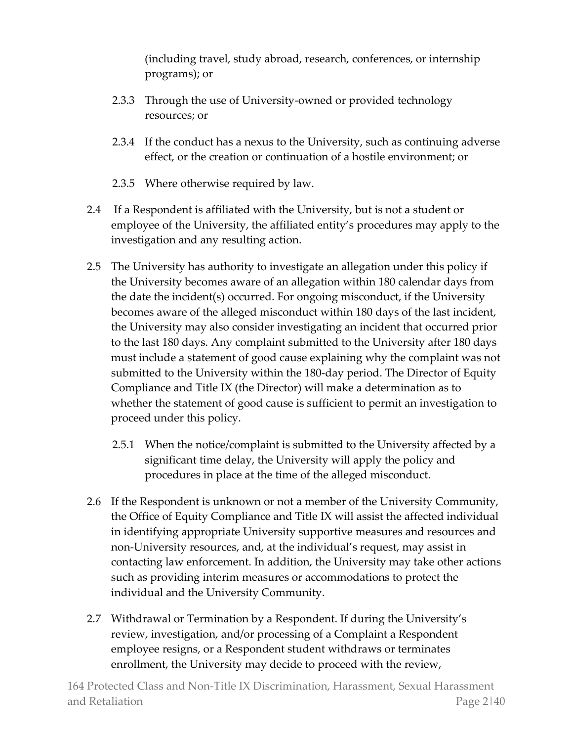(including travel, study abroad, research, conferences, or internship programs); or

- 2.3.3 Through the use of University-owned or provided technology resources; or
- 2.3.4 If the conduct has a nexus to the University, such as continuing adverse effect, or the creation or continuation of a hostile environment; or
- 2.3.5 Where otherwise required by law.
- 2.4 If a Respondent is affiliated with the University, but is not a student or employee of the University, the affiliated entity's procedures may apply to the investigation and any resulting action.
- 2.5 The University has authority to investigate an allegation under this policy if the University becomes aware of an allegation within 180 calendar days from the date the incident(s) occurred. For ongoing misconduct, if the University becomes aware of the alleged misconduct within 180 days of the last incident, the University may also consider investigating an incident that occurred prior to the last 180 days. Any complaint submitted to the University after 180 days must include a statement of good cause explaining why the complaint was not submitted to the University within the 180-day period. The Director of Equity Compliance and Title IX (the Director) will make a determination as to whether the statement of good cause is sufficient to permit an investigation to proceed under this policy.
	- 2.5.1 When the notice/complaint is submitted to the University affected by a significant time delay, the University will apply the policy and procedures in place at the time of the alleged misconduct.
- 2.6 If the Respondent is unknown or not a member of the University Community, the Office of Equity Compliance and Title IX will assist the affected individual in identifying appropriate University supportive measures and resources and non-University resources, and, at the individual's request, may assist in contacting law enforcement. In addition, the University may take other actions such as providing interim measures or accommodations to protect the individual and the University Community.
- 2.7 Withdrawal or Termination by a Respondent. If during the University's review, investigation, and/or processing of a Complaint a Respondent employee resigns, or a Respondent student withdraws or terminates enrollment, the University may decide to proceed with the review,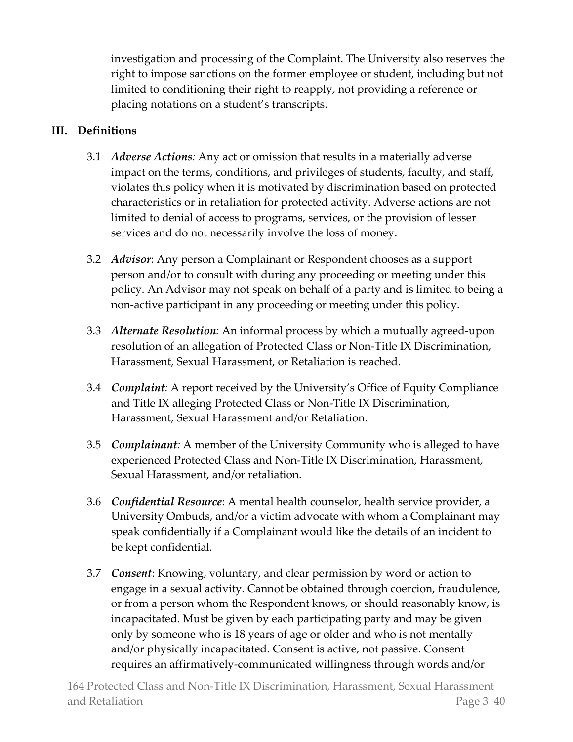investigation and processing of the Complaint. The University also reserves the right to impose sanctions on the former employee or student, including but not limited to conditioning their right to reapply, not providing a reference or placing notations on a student's transcripts.

# **III. Definitions**

- 3.1 *Adverse Actions:* Any act or omission that results in a materially adverse impact on the terms, conditions, and privileges of students, faculty, and staff, violates this policy when it is motivated by discrimination based on protected characteristics or in retaliation for protected activity. Adverse actions are not limited to denial of access to programs, services, or the provision of lesser services and do not necessarily involve the loss of money.
- 3.2 *Advisor*: Any person a Complainant or Respondent chooses as a support person and/or to consult with during any proceeding or meeting under this policy. An Advisor may not speak on behalf of a party and is limited to being a non-active participant in any proceeding or meeting under this policy.
- 3.3 *Alternate Resolution:* An informal process by which a mutually agreed-upon resolution of an allegation of Protected Class or Non-Title IX Discrimination, Harassment, Sexual Harassment, or Retaliation is reached.
- 3.4 *Complaint:* A report received by the University's Office of Equity Compliance and Title IX alleging Protected Class or Non-Title IX Discrimination, Harassment, Sexual Harassment and/or Retaliation.
- 3.5 *Complainant:* A member of the University Community who is alleged to have experienced Protected Class and Non-Title IX Discrimination, Harassment, Sexual Harassment, and/or retaliation.
- 3.6 *Confidential Resource*: A mental health counselor, health service provider, a University Ombuds, and/or a victim advocate with whom a Complainant may speak confidentially if a Complainant would like the details of an incident to be kept confidential.
- 3.7 *Consent*: Knowing, voluntary, and clear permission by word or action to engage in a sexual activity. Cannot be obtained through coercion, fraudulence, or from a person whom the Respondent knows, or should reasonably know, is incapacitated. Must be given by each participating party and may be given only by someone who is 18 years of age or older and who is not mentally and/or physically incapacitated. Consent is active, not passive. Consent requires an affirmatively-communicated willingness through words and/or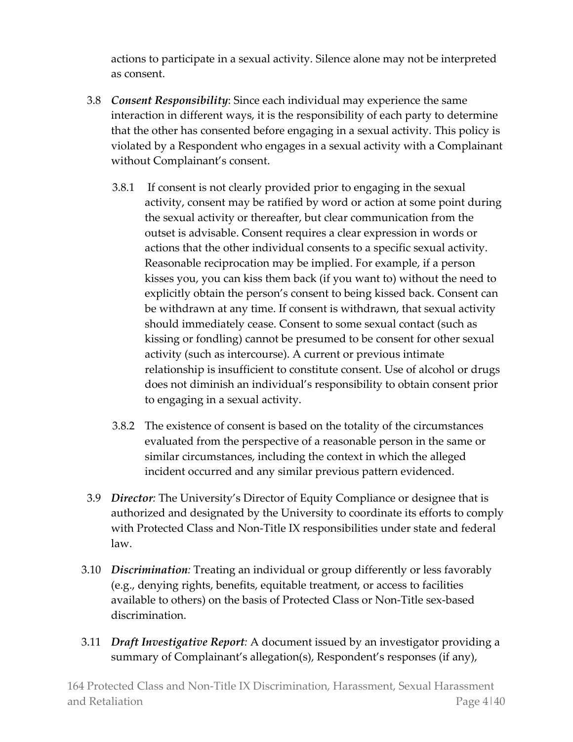actions to participate in a sexual activity. Silence alone may not be interpreted as consent.

- 3.8 *Consent Responsibility*: Since each individual may experience the same interaction in different ways, it is the responsibility of each party to determine that the other has consented before engaging in a sexual activity. This policy is violated by a Respondent who engages in a sexual activity with a Complainant without Complainant's consent.
	- 3.8.1 If consent is not clearly provided prior to engaging in the sexual activity, consent may be ratified by word or action at some point during the sexual activity or thereafter, but clear communication from the outset is advisable. Consent requires a clear expression in words or actions that the other individual consents to a specific sexual activity. Reasonable reciprocation may be implied. For example, if a person kisses you, you can kiss them back (if you want to) without the need to explicitly obtain the person's consent to being kissed back. Consent can be withdrawn at any time. If consent is withdrawn, that sexual activity should immediately cease. Consent to some sexual contact (such as kissing or fondling) cannot be presumed to be consent for other sexual activity (such as intercourse). A current or previous intimate relationship is insufficient to constitute consent. Use of alcohol or drugs does not diminish an individual's responsibility to obtain consent prior to engaging in a sexual activity.
	- 3.8.2 The existence of consent is based on the totality of the circumstances evaluated from the perspective of a reasonable person in the same or similar circumstances, including the context in which the alleged incident occurred and any similar previous pattern evidenced.
- 3.9 *Director:* The University's Director of Equity Compliance or designee that is authorized and designated by the University to coordinate its efforts to comply with Protected Class and Non-Title IX responsibilities under state and federal law.
- 3.10 *Discrimination:* Treating an individual or group differently or less favorably (e.g., denying rights, benefits, equitable treatment, or access to facilities available to others) on the basis of Protected Class or Non-Title sex-based discrimination.
- 3.11 *Draft Investigative Report:* A document issued by an investigator providing a summary of Complainant's allegation(s), Respondent's responses (if any),

164 Protected Class and Non-Title IX Discrimination, Harassment, Sexual Harassment and Retaliation **Page 4|40**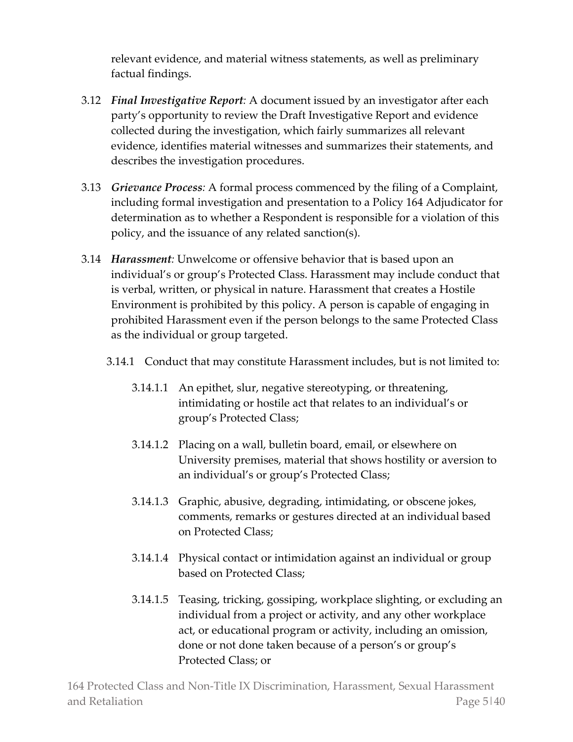relevant evidence, and material witness statements, as well as preliminary factual findings.

- 3.12 *Final Investigative Report:* A document issued by an investigator after each party's opportunity to review the Draft Investigative Report and evidence collected during the investigation, which fairly summarizes all relevant evidence, identifies material witnesses and summarizes their statements, and describes the investigation procedures.
- 3.13 *Grievance Process:* A formal process commenced by the filing of a Complaint, including formal investigation and presentation to a Policy 164 Adjudicator for determination as to whether a Respondent is responsible for a violation of this policy, and the issuance of any related sanction(s).
- 3.14 *Harassment:* Unwelcome or offensive behavior that is based upon an individual's or group's Protected Class. Harassment may include conduct that is verbal, written, or physical in nature. Harassment that creates a Hostile Environment is prohibited by this policy. A person is capable of engaging in prohibited Harassment even if the person belongs to the same Protected Class as the individual or group targeted.
	- 3.14.1 Conduct that may constitute Harassment includes, but is not limited to:
		- 3.14.1.1 An epithet, slur, negative stereotyping, or threatening, intimidating or hostile act that relates to an individual's or group's Protected Class;
		- 3.14.1.2 Placing on a wall, bulletin board, email, or elsewhere on University premises, material that shows hostility or aversion to an individual's or group's Protected Class;
		- 3.14.1.3 Graphic, abusive, degrading, intimidating, or obscene jokes, comments, remarks or gestures directed at an individual based on Protected Class;
		- 3.14.1.4 Physical contact or intimidation against an individual or group based on Protected Class;
		- 3.14.1.5 Teasing, tricking, gossiping, workplace slighting, or excluding an individual from a project or activity, and any other workplace act, or educational program or activity, including an omission, done or not done taken because of a person's or group's Protected Class; or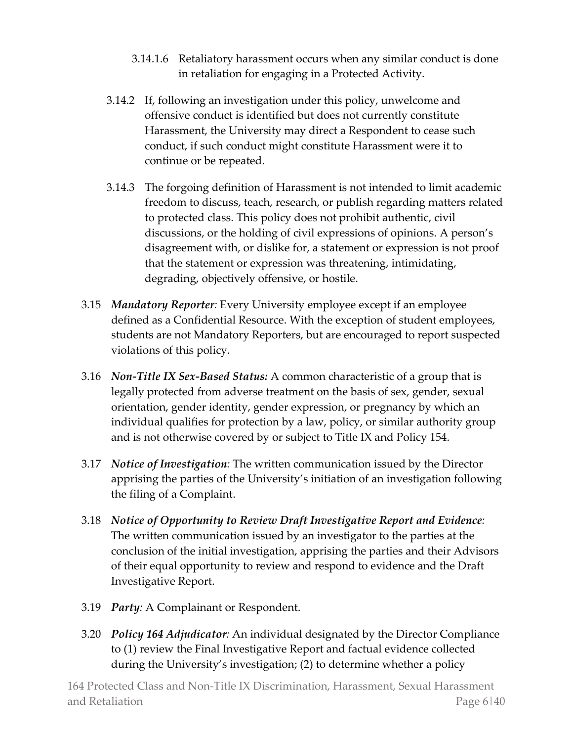- 3.14.1.6 Retaliatory harassment occurs when any similar conduct is done in retaliation for engaging in a Protected Activity.
- 3.14.2 If, following an investigation under this policy, unwelcome and offensive conduct is identified but does not currently constitute Harassment, the University may direct a Respondent to cease such conduct, if such conduct might constitute Harassment were it to continue or be repeated.
- 3.14.3 The forgoing definition of Harassment is not intended to limit academic freedom to discuss, teach, research, or publish regarding matters related to protected class. This policy does not prohibit authentic, civil discussions, or the holding of civil expressions of opinions. A person's disagreement with, or dislike for, a statement or expression is not proof that the statement or expression was threatening, intimidating, degrading, objectively offensive, or hostile.
- 3.15 *Mandatory Reporter:* Every University employee except if an employee defined as a Confidential Resource. With the exception of student employees, students are not Mandatory Reporters, but are encouraged to report suspected violations of this policy.
- 3.16 *Non-Title IX Sex-Based Status:* A common characteristic of a group that is legally protected from adverse treatment on the basis of sex, gender, sexual orientation, gender identity, gender expression, or pregnancy by which an individual qualifies for protection by a law, policy, or similar authority group and is not otherwise covered by or subject to Title IX and Policy 154.
- 3.17 *Notice of Investigation:* The written communication issued by the Director apprising the parties of the University's initiation of an investigation following the filing of a Complaint.
- 3.18 *Notice of Opportunity to Review Draft Investigative Report and Evidence:* The written communication issued by an investigator to the parties at the conclusion of the initial investigation, apprising the parties and their Advisors of their equal opportunity to review and respond to evidence and the Draft Investigative Report.
- 3.19 *Party:* A Complainant or Respondent.
- 3.20 *Policy 164 Adjudicator:* An individual designated by the Director Compliance to (1) review the Final Investigative Report and factual evidence collected during the University's investigation; (2) to determine whether a policy

164 Protected Class and Non-Title IX Discrimination, Harassment, Sexual Harassment and Retaliation **Page 6** and Retaliation **Page 6** and Retaliation **Page 6** and Page 6 and Page 6 and Page 6 and Page 6 and Page 6 and Page 6 and Page 6 and Page 6 and Page 6 and Page 6 and Page 6 and Page 7 and Page 7 and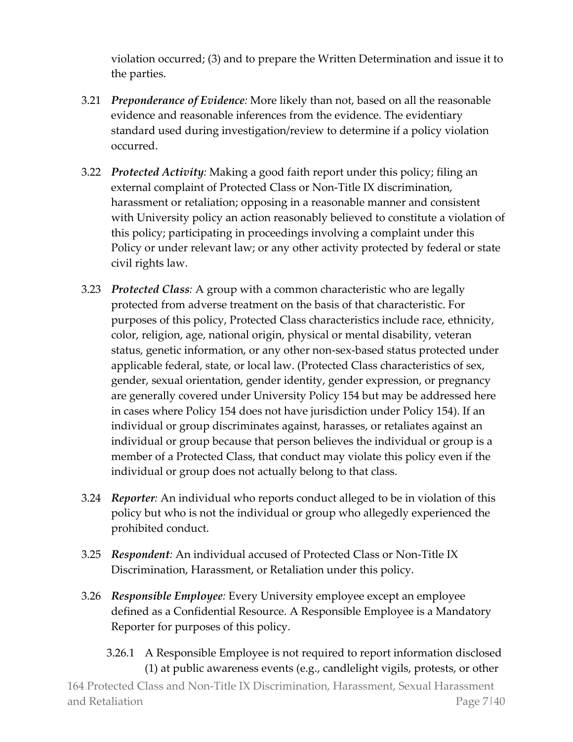violation occurred; (3) and to prepare the Written Determination and issue it to the parties.

- 3.21 *Preponderance of Evidence:* More likely than not, based on all the reasonable evidence and reasonable inferences from the evidence. The evidentiary standard used during investigation/review to determine if a policy violation occurred.
- 3.22 *Protected Activity:* Making a good faith report under this policy; filing an external complaint of Protected Class or Non-Title IX discrimination, harassment or retaliation; opposing in a reasonable manner and consistent with University policy an action reasonably believed to constitute a violation of this policy; participating in proceedings involving a complaint under this Policy or under relevant law; or any other activity protected by federal or state civil rights law.
- 3.23 *Protected Class:* A group with a common characteristic who are legally protected from adverse treatment on the basis of that characteristic. For purposes of this policy, Protected Class characteristics include race, ethnicity, color, religion, age, national origin, physical or mental disability, veteran status, genetic information, or any other non-sex-based status protected under applicable federal, state, or local law. (Protected Class characteristics of sex, gender, sexual orientation, gender identity, gender expression, or pregnancy are generally covered under University Policy 154 but may be addressed here in cases where Policy 154 does not have jurisdiction under Policy 154). If an individual or group discriminates against, harasses, or retaliates against an individual or group because that person believes the individual or group is a member of a Protected Class, that conduct may violate this policy even if the individual or group does not actually belong to that class.
- 3.24 *Reporter:* An individual who reports conduct alleged to be in violation of this policy but who is not the individual or group who allegedly experienced the prohibited conduct.
- 3.25 *Respondent:* An individual accused of Protected Class or Non-Title IX Discrimination, Harassment, or Retaliation under this policy.
- 3.26 *Responsible Employee:* Every University employee except an employee defined as a Confidential Resource. A Responsible Employee is a Mandatory Reporter for purposes of this policy.
	- 3.26.1 A Responsible Employee is not required to report information disclosed (1) at public awareness events (e.g., candlelight vigils, protests, or other

164 Protected Class and Non-Title IX Discrimination, Harassment, Sexual Harassment and Retaliation **Page 7** and Retaliation **Page 7** and Retaliation **Page 7** and Page 7 and Page 7 and Page 7 and Page 7 and Page 7 and Page 7 and Page 7 and Page 7 and Page 7 and Page 7 and Page 7 and Page 7 and Page 7 and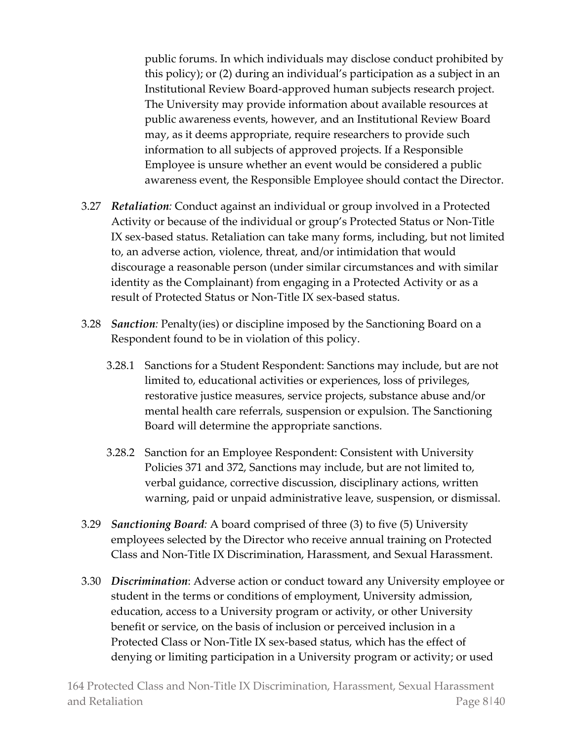public forums. In which individuals may disclose conduct prohibited by this policy); or (2) during an individual's participation as a subject in an Institutional Review Board-approved human subjects research project. The University may provide information about available resources at public awareness events, however, and an Institutional Review Board may, as it deems appropriate, require researchers to provide such information to all subjects of approved projects. If a Responsible Employee is unsure whether an event would be considered a public awareness event, the Responsible Employee should contact the Director.

- 3.27 *Retaliation:* Conduct against an individual or group involved in a Protected Activity or because of the individual or group's Protected Status or Non-Title IX sex-based status. Retaliation can take many forms, including, but not limited to, an adverse action, violence, threat, and/or intimidation that would discourage a reasonable person (under similar circumstances and with similar identity as the Complainant) from engaging in a Protected Activity or as a result of Protected Status or Non-Title IX sex-based status.
- 3.28 *Sanction:* Penalty(ies) or discipline imposed by the Sanctioning Board on a Respondent found to be in violation of this policy.
	- 3.28.1 Sanctions for a Student Respondent: Sanctions may include, but are not limited to, educational activities or experiences, loss of privileges, restorative justice measures, service projects, substance abuse and/or mental health care referrals, suspension or expulsion. The Sanctioning Board will determine the appropriate sanctions.
	- 3.28.2 Sanction for an Employee Respondent: Consistent with University Policies 371 and 372, Sanctions may include, but are not limited to, verbal guidance, corrective discussion, disciplinary actions, written warning, paid or unpaid administrative leave, suspension, or dismissal.
- 3.29 *Sanctioning Board:* A board comprised of three (3) to five (5) University employees selected by the Director who receive annual training on Protected Class and Non-Title IX Discrimination, Harassment, and Sexual Harassment.
- 3.30 *Discrimination*: Adverse action or conduct toward any University employee or student in the terms or conditions of employment, University admission, education, access to a University program or activity, or other University benefit or service, on the basis of inclusion or perceived inclusion in a Protected Class or Non-Title IX sex-based status, which has the effect of denying or limiting participation in a University program or activity; or used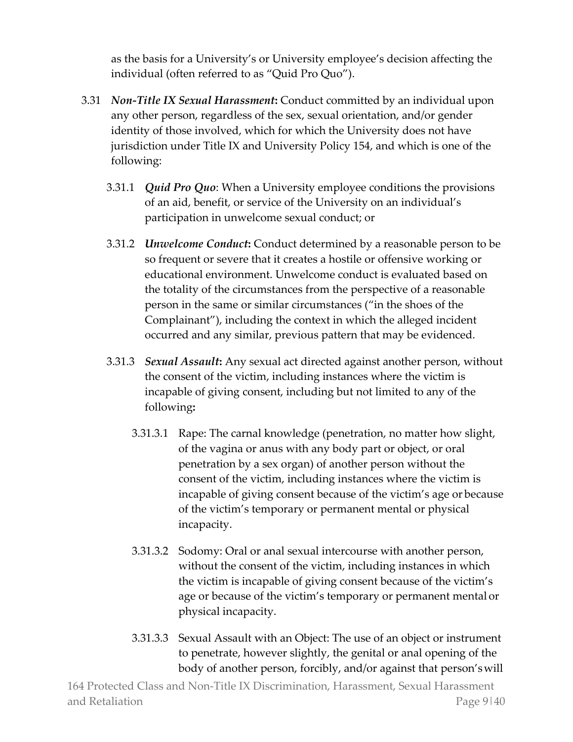as the basis for a University's or University employee's decision affecting the individual (often referred to as "Quid Pro Quo").

- 3.31 *Non-Title IX Sexual Harassment***:** Conduct committed by an individual upon any other person, regardless of the sex, sexual orientation, and/or gender identity of those involved, which for which the University does not have jurisdiction under Title IX and University Policy 154, and which is one of the following:
	- 3.31.1 *Quid Pro Quo*: When a University employee conditions the provisions of an aid, benefit, or service of the University on an individual's participation in unwelcome sexual conduct; or
	- 3.31.2 *Unwelcome Conduct***:** Conduct determined by a reasonable person to be so frequent or severe that it creates a hostile or offensive working or educational environment. Unwelcome conduct is evaluated based on the totality of the circumstances from the perspective of a reasonable person in the same or similar circumstances ("in the shoes of the Complainant"), including the context in which the alleged incident occurred and any similar, previous pattern that may be evidenced.
	- 3.31.3 *Sexual Assault***:** Any sexual act directed against another person, without the consent of the victim, including instances where the victim is incapable of giving consent, including but not limited to any of the following**:**
		- 3.31.3.1 Rape: The carnal knowledge (penetration, no matter how slight, of the vagina or anus with any body part or object, or oral penetration by a sex organ) of another person without the consent of the victim, including instances where the victim is incapable of giving consent because of the victim's age or because of the victim's temporary or permanent mental or physical incapacity.
		- 3.31.3.2 Sodomy: Oral or anal sexual intercourse with another person, without the consent of the victim, including instances in which the victim is incapable of giving consent because of the victim's age or because of the victim's temporary or permanent mental or physical incapacity.
		- 3.31.3.3 Sexual Assault with an Object: The use of an object or instrument to penetrate, however slightly, the genital or anal opening of the body of another person, forcibly, and/or against that person'swill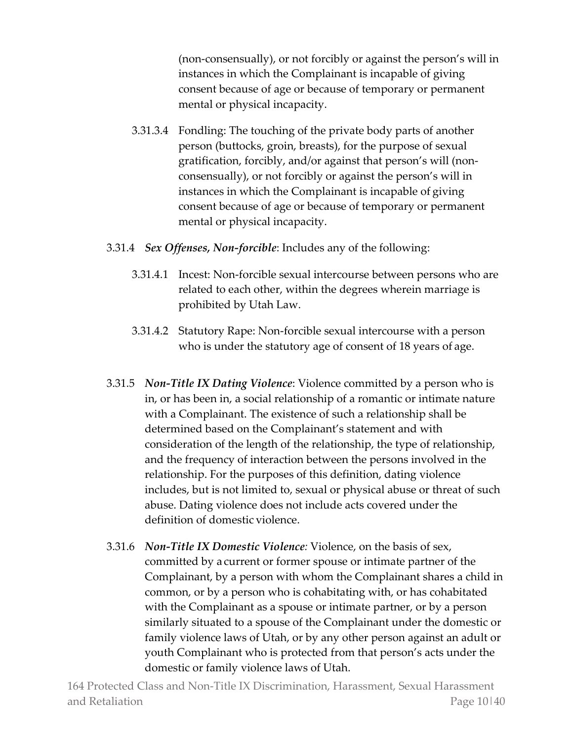(non-consensually), or not forcibly or against the person's will in instances in which the Complainant is incapable of giving consent because of age or because of temporary or permanent mental or physical incapacity.

- 3.31.3.4 Fondling: The touching of the private body parts of another person (buttocks, groin, breasts), for the purpose of sexual gratification, forcibly, and/or against that person's will (nonconsensually), or not forcibly or against the person's will in instances in which the Complainant is incapable of giving consent because of age or because of temporary or permanent mental or physical incapacity.
- 3.31.4 *Sex Offenses, Non-forcible*: Includes any of the following:
	- 3.31.4.1 Incest: Non-forcible sexual intercourse between persons who are related to each other, within the degrees wherein marriage is prohibited by Utah Law.
	- 3.31.4.2 Statutory Rape: Non-forcible sexual intercourse with a person who is under the statutory age of consent of 18 years of age.
- 3.31.5 *Non-Title IX Dating Violence*: Violence committed by a person who is in, or has been in, a social relationship of a romantic or intimate nature with a Complainant. The existence of such a relationship shall be determined based on the Complainant's statement and with consideration of the length of the relationship, the type of relationship, and the frequency of interaction between the persons involved in the relationship. For the purposes of this definition, dating violence includes, but is not limited to, sexual or physical abuse or threat of such abuse. Dating violence does not include acts covered under the definition of domestic violence.
- 3.31.6 *Non-Title IX Domestic Violence:* Violence, on the basis of sex, committed by a current or former spouse or intimate partner of the Complainant, by a person with whom the Complainant shares a child in common, or by a person who is cohabitating with, or has cohabitated with the Complainant as a spouse or intimate partner, or by a person similarly situated to a spouse of the Complainant under the domestic or family violence laws of Utah, or by any other person against an adult or youth Complainant who is protected from that person's acts under the domestic or family violence laws of Utah.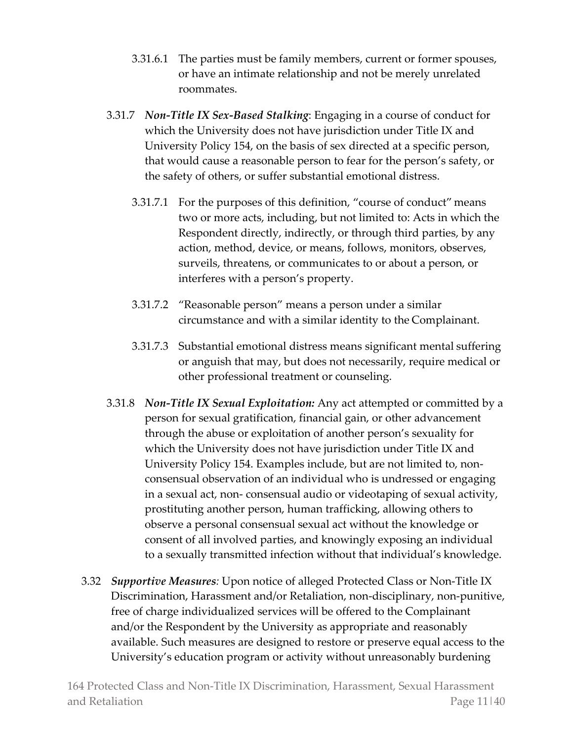- 3.31.6.1 The parties must be family members, current or former spouses, or have an intimate relationship and not be merely unrelated roommates.
- 3.31.7 *Non-Title IX Sex-Based Stalking*: Engaging in a course of conduct for which the University does not have jurisdiction under Title IX and University Policy 154, on the basis of sex directed at a specific person, that would cause a reasonable person to fear for the person's safety, or the safety of others, or suffer substantial emotional distress.
	- 3.31.7.1 For the purposes of this definition, "course of conduct" means two or more acts, including, but not limited to: Acts in which the Respondent directly, indirectly, or through third parties, by any action, method, device, or means, follows, monitors, observes, surveils, threatens, or communicates to or about a person, or interferes with a person's property.
	- 3.31.7.2 "Reasonable person" means a person under a similar circumstance and with a similar identity to the Complainant.
	- 3.31.7.3 Substantial emotional distress means significant mental suffering or anguish that may, but does not necessarily, require medical or other professional treatment or counseling.
- 3.31.8 *Non-Title IX Sexual Exploitation:* Any act attempted or committed by a person for sexual gratification, financial gain, or other advancement through the abuse or exploitation of another person's sexuality for which the University does not have jurisdiction under Title IX and University Policy 154. Examples include, but are not limited to, nonconsensual observation of an individual who is undressed or engaging in a sexual act, non- consensual audio or videotaping of sexual activity, prostituting another person, human trafficking, allowing others to observe a personal consensual sexual act without the knowledge or consent of all involved parties, and knowingly exposing an individual to a sexually transmitted infection without that individual's knowledge.
- 3.32 *Supportive Measures:* Upon notice of alleged Protected Class or Non-Title IX Discrimination, Harassment and/or Retaliation, non-disciplinary, non-punitive, free of charge individualized services will be offered to the Complainant and/or the Respondent by the University as appropriate and reasonably available. Such measures are designed to restore or preserve equal access to the University's education program or activity without unreasonably burdening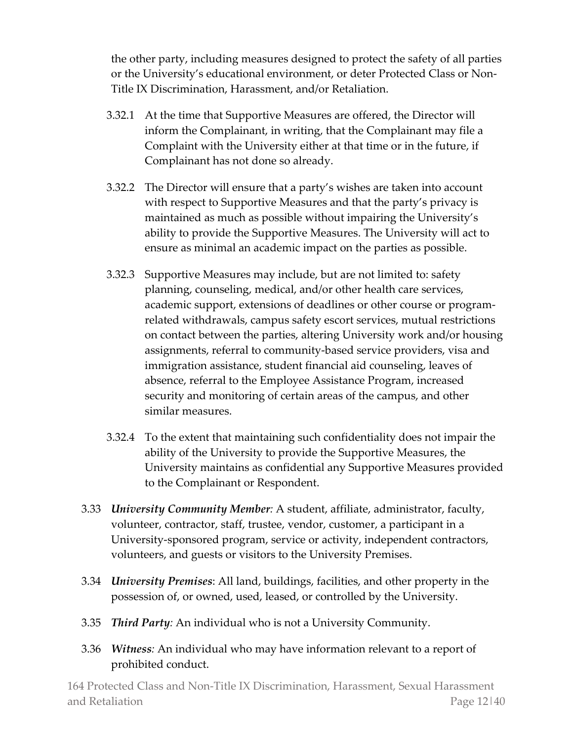the other party, including measures designed to protect the safety of all parties or the University's educational environment, or deter Protected Class or Non-Title IX Discrimination, Harassment, and/or Retaliation.

- 3.32.1 At the time that Supportive Measures are offered, the Director will inform the Complainant, in writing, that the Complainant may file a Complaint with the University either at that time or in the future, if Complainant has not done so already.
- 3.32.2 The Director will ensure that a party's wishes are taken into account with respect to Supportive Measures and that the party's privacy is maintained as much as possible without impairing the University's ability to provide the Supportive Measures. The University will act to ensure as minimal an academic impact on the parties as possible.
- 3.32.3 Supportive Measures may include, but are not limited to: safety planning, counseling, medical, and/or other health care services, academic support, extensions of deadlines or other course or programrelated withdrawals, campus safety escort services, mutual restrictions on contact between the parties, altering University work and/or housing assignments, referral to community-based service providers, visa and immigration assistance, student financial aid counseling, leaves of absence, referral to the Employee Assistance Program, increased security and monitoring of certain areas of the campus, and other similar measures.
- 3.32.4 To the extent that maintaining such confidentiality does not impair the ability of the University to provide the Supportive Measures, the University maintains as confidential any Supportive Measures provided to the Complainant or Respondent.
- 3.33 *University Community Member:* A student, affiliate, administrator, faculty, volunteer, contractor, staff, trustee, vendor, customer, a participant in a University-sponsored program, service or activity, independent contractors, volunteers, and guests or visitors to the University Premises.
- 3.34 *University Premises*: All land, buildings, facilities, and other property in the possession of, or owned, used, leased, or controlled by the University.
- 3.35 *Third Party:* An individual who is not a University Community.
- 3.36 *Witness:* An individual who may have information relevant to a report of prohibited conduct.

164 Protected Class and Non-Title IX Discrimination, Harassment, Sexual Harassment and Retaliation **Page 12**|40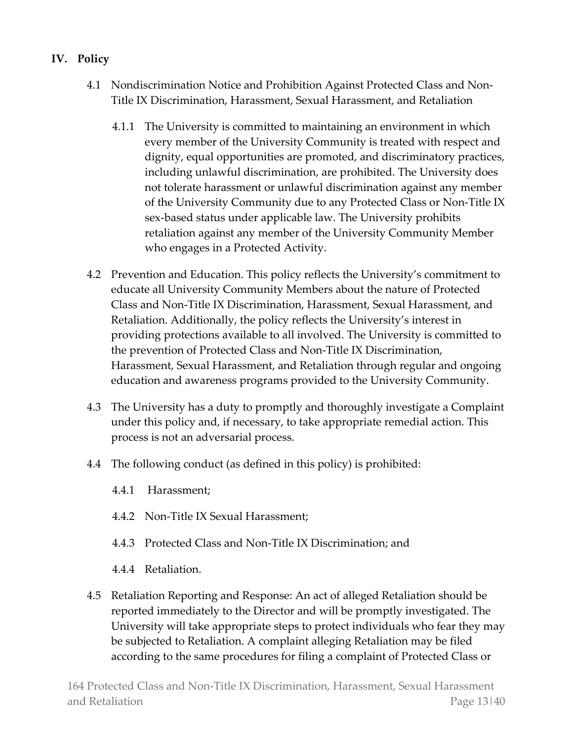# **IV. Policy**

- 4.1 Nondiscrimination Notice and Prohibition Against Protected Class and Non-Title IX Discrimination, Harassment, Sexual Harassment, and Retaliation
	- 4.1.1 The University is committed to maintaining an environment in which every member of the University Community is treated with respect and dignity, equal opportunities are promoted, and discriminatory practices, including unlawful discrimination, are prohibited. The University does not tolerate harassment or unlawful discrimination against any member of the University Community due to any Protected Class or Non-Title IX sex-based status under applicable law. The University prohibits retaliation against any member of the University Community Member who engages in a Protected Activity.
- 4.2 Prevention and Education. This policy reflects the University's commitment to educate all University Community Members about the nature of Protected Class and Non-Title IX Discrimination, Harassment, Sexual Harassment, and Retaliation. Additionally, the policy reflects the University's interest in providing protections available to all involved. The University is committed to the prevention of Protected Class and Non-Title IX Discrimination, Harassment, Sexual Harassment, and Retaliation through regular and ongoing education and awareness programs provided to the University Community.
- 4.3 The University has a duty to promptly and thoroughly investigate a Complaint under this policy and, if necessary, to take appropriate remedial action. This process is not an adversarial process.
- 4.4 The following conduct (as defined in this policy) is prohibited:
	- 4.4.1 Harassment;
	- 4.4.2 Non-Title IX Sexual Harassment;
	- 4.4.3 Protected Class and Non-Title IX Discrimination; and
	- 4.4.4 Retaliation.
- 4.5 Retaliation Reporting and Response: An act of alleged Retaliation should be reported immediately to the Director and will be promptly investigated. The University will take appropriate steps to protect individuals who fear they may be subjected to Retaliation. A complaint alleging Retaliation may be filed according to the same procedures for filing a complaint of Protected Class or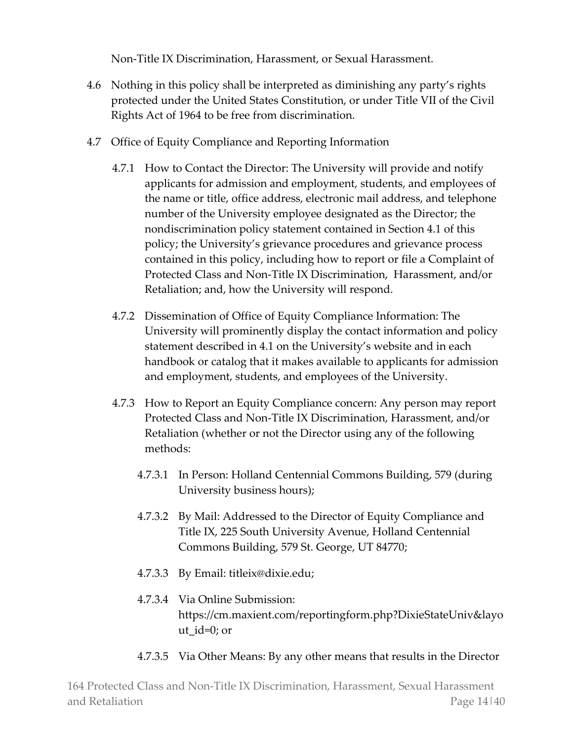Non-Title IX Discrimination, Harassment, or Sexual Harassment.

- 4.6 Nothing in this policy shall be interpreted as diminishing any party's rights protected under the United States Constitution, or under Title VII of the Civil Rights Act of 1964 to be free from discrimination.
- 4.7 Office of Equity Compliance and Reporting Information
	- 4.7.1 How to Contact the Director: The University will provide and notify applicants for admission and employment, students, and employees of the name or title, office address, electronic mail address, and telephone number of the University employee designated as the Director; the nondiscrimination policy statement contained in Section 4.1 of this policy; the University's grievance procedures and grievance process contained in this policy, including how to report or file a Complaint of Protected Class and Non-Title IX Discrimination, Harassment, and/or Retaliation; and, how the University will respond.
	- 4.7.2 Dissemination of Office of Equity Compliance Information: The University will prominently display the contact information and policy statement described in 4.1 on the University's website and in each handbook or catalog that it makes available to applicants for admission and employment, students, and employees of the University.
	- 4.7.3 How to Report an Equity Compliance concern: Any person may report Protected Class and Non-Title IX Discrimination, Harassment, and/or Retaliation (whether or not the Director using any of the following methods:
		- 4.7.3.1 In Person: Holland Centennial Commons Building, 579 (during University business hours);
		- 4.7.3.2 By Mail: Addressed to the Director of Equity Compliance and Title IX, 225 South University Avenue, Holland Centennial Commons Building, 579 St. George, UT 84770;
		- 4.7.3.3 By Email: titleix@dixie.edu;
		- 4.7.3.4 Via Online Submission: https://cm.maxient.com/reportingform.php?DixieStateUniv&layo ut\_id= $0$ ; or
		- 4.7.3.5 Via Other Means: By any other means that results in the Director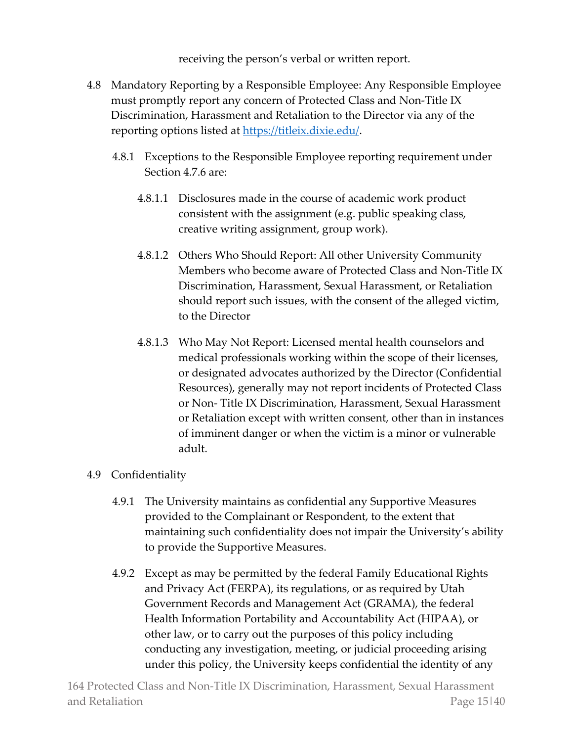receiving the person's verbal or written report.

- 4.8 Mandatory Reporting by a Responsible Employee: Any Responsible Employee must promptly report any concern of Protected Class and Non-Title IX Discrimination, Harassment and Retaliation to the Director via any of the reporting options listed at [https://titleix.dixie.edu/.](https://titleix.dixie.edu/)
	- 4.8.1 Exceptions to the Responsible Employee reporting requirement under Section 4.7.6 are:
		- 4.8.1.1 Disclosures made in the course of academic work product consistent with the assignment (e.g. public speaking class, creative writing assignment, group work).
		- 4.8.1.2 Others Who Should Report: All other University Community Members who become aware of Protected Class and Non-Title IX Discrimination, Harassment, Sexual Harassment, or Retaliation should report such issues, with the consent of the alleged victim, to the Director
		- 4.8.1.3 Who May Not Report: Licensed mental health counselors and medical professionals working within the scope of their licenses, or designated advocates authorized by the Director (Confidential Resources), generally may not report incidents of Protected Class or Non- Title IX Discrimination, Harassment, Sexual Harassment or Retaliation except with written consent, other than in instances of imminent danger or when the victim is a minor or vulnerable adult.

# 4.9 Confidentiality

- 4.9.1 The University maintains as confidential any Supportive Measures provided to the Complainant or Respondent, to the extent that maintaining such confidentiality does not impair the University's ability to provide the Supportive Measures.
- 4.9.2 Except as may be permitted by the federal Family Educational Rights and Privacy Act (FERPA), its regulations, or as required by Utah Government Records and Management Act (GRAMA), the federal Health Information Portability and Accountability Act (HIPAA), or other law, or to carry out the purposes of this policy including conducting any investigation, meeting, or judicial proceeding arising under this policy, the University keeps confidential the identity of any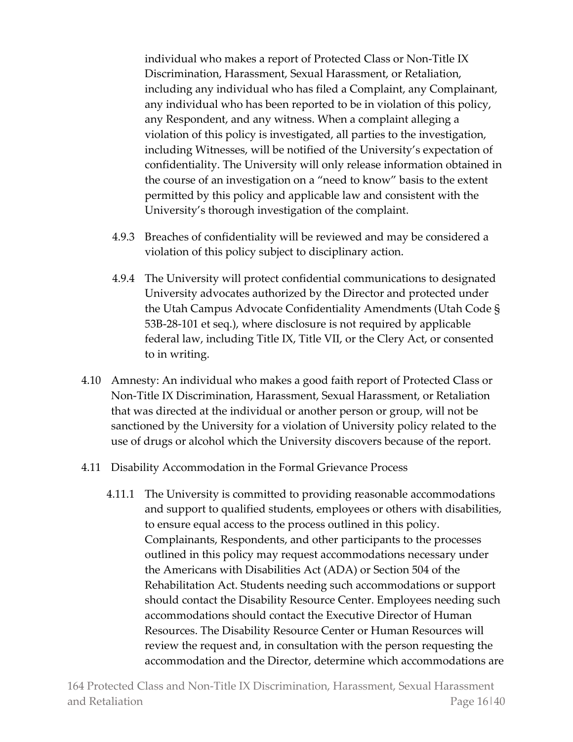individual who makes a report of Protected Class or Non-Title IX Discrimination, Harassment, Sexual Harassment, or Retaliation, including any individual who has filed a Complaint, any Complainant, any individual who has been reported to be in violation of this policy, any Respondent, and any witness. When a complaint alleging a violation of this policy is investigated, all parties to the investigation, including Witnesses, will be notified of the University's expectation of confidentiality. The University will only release information obtained in the course of an investigation on a "need to know" basis to the extent permitted by this policy and applicable law and consistent with the University's thorough investigation of the complaint.

- 4.9.3 Breaches of confidentiality will be reviewed and may be considered a violation of this policy subject to disciplinary action.
- 4.9.4 The University will protect confidential communications to designated University advocates authorized by the Director and protected under the Utah Campus Advocate Confidentiality Amendments (Utah Code § 53B-28-101 et seq.), where disclosure is not required by applicable federal law, including Title IX, Title VII, or the Clery Act, or consented to in writing.
- 4.10 Amnesty: An individual who makes a good faith report of Protected Class or Non-Title IX Discrimination, Harassment, Sexual Harassment, or Retaliation that was directed at the individual or another person or group, will not be sanctioned by the University for a violation of University policy related to the use of drugs or alcohol which the University discovers because of the report.
- 4.11 Disability Accommodation in the Formal Grievance Process
	- 4.11.1 The University is committed to providing reasonable accommodations and support to qualified students, employees or others with disabilities, to ensure equal access to the process outlined in this policy. Complainants, Respondents, and other participants to the processes outlined in this policy may request accommodations necessary under the Americans with Disabilities Act (ADA) or Section 504 of the Rehabilitation Act. Students needing such accommodations or support should contact the Disability Resource Center. Employees needing such accommodations should contact the Executive Director of Human Resources. The Disability Resource Center or Human Resources will review the request and, in consultation with the person requesting the accommodation and the Director, determine which accommodations are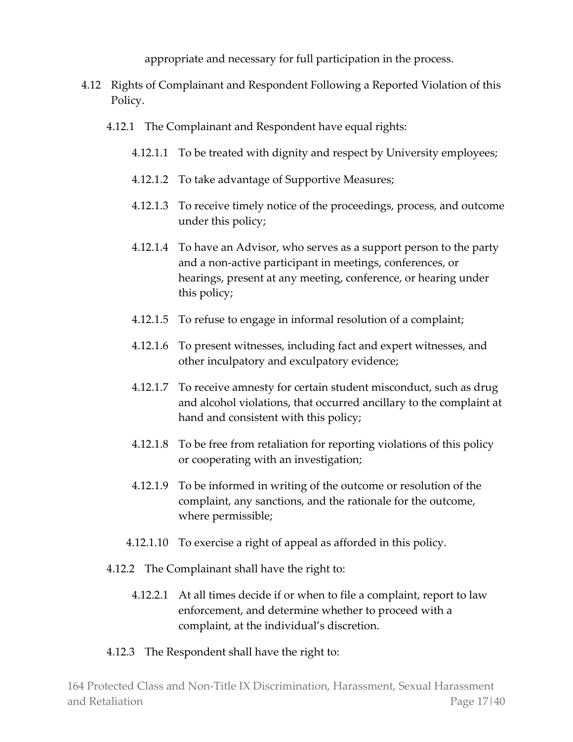appropriate and necessary for full participation in the process.

- 4.12 Rights of Complainant and Respondent Following a Reported Violation of this Policy.
	- 4.12.1 The Complainant and Respondent have equal rights:
		- 4.12.1.1 To be treated with dignity and respect by University employees;
		- 4.12.1.2 To take advantage of Supportive Measures;
		- 4.12.1.3 To receive timely notice of the proceedings, process, and outcome under this policy;
		- 4.12.1.4 To have an Advisor, who serves as a support person to the party and a non-active participant in meetings, conferences, or hearings, present at any meeting, conference, or hearing under this policy;
		- 4.12.1.5 To refuse to engage in informal resolution of a complaint;
		- 4.12.1.6 To present witnesses, including fact and expert witnesses, and other inculpatory and exculpatory evidence;
		- 4.12.1.7 To receive amnesty for certain student misconduct, such as drug and alcohol violations, that occurred ancillary to the complaint at hand and consistent with this policy;
		- 4.12.1.8 To be free from retaliation for reporting violations of this policy or cooperating with an investigation;
		- 4.12.1.9 To be informed in writing of the outcome or resolution of the complaint, any sanctions, and the rationale for the outcome, where permissible;
		- 4.12.1.10 To exercise a right of appeal as afforded in this policy.
	- 4.12.2 The Complainant shall have the right to:
		- 4.12.2.1 At all times decide if or when to file a complaint, report to law enforcement, and determine whether to proceed with a complaint, at the individual's discretion.
	- 4.12.3 The Respondent shall have the right to: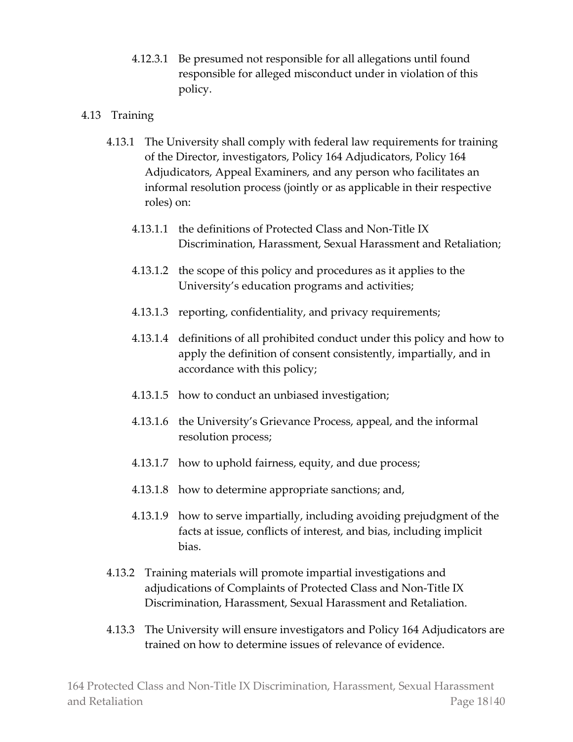4.12.3.1 Be presumed not responsible for all allegations until found responsible for alleged misconduct under in violation of this policy.

## 4.13 Training

- 4.13.1 The University shall comply with federal law requirements for training of the Director, investigators, Policy 164 Adjudicators, Policy 164 Adjudicators, Appeal Examiners, and any person who facilitates an informal resolution process (jointly or as applicable in their respective roles) on:
	- 4.13.1.1 the definitions of Protected Class and Non-Title IX Discrimination, Harassment, Sexual Harassment and Retaliation;
	- 4.13.1.2 the scope of this policy and procedures as it applies to the University's education programs and activities;
	- 4.13.1.3 reporting, confidentiality, and privacy requirements;
	- 4.13.1.4 definitions of all prohibited conduct under this policy and how to apply the definition of consent consistently, impartially, and in accordance with this policy;
	- 4.13.1.5 how to conduct an unbiased investigation;
	- 4.13.1.6 the University's Grievance Process, appeal, and the informal resolution process;
	- 4.13.1.7 how to uphold fairness, equity, and due process;
	- 4.13.1.8 how to determine appropriate sanctions; and,
	- 4.13.1.9 how to serve impartially, including avoiding prejudgment of the facts at issue, conflicts of interest, and bias, including implicit bias.
- 4.13.2 Training materials will promote impartial investigations and adjudications of Complaints of Protected Class and Non-Title IX Discrimination, Harassment, Sexual Harassment and Retaliation.
- 4.13.3 The University will ensure investigators and Policy 164 Adjudicators are trained on how to determine issues of relevance of evidence.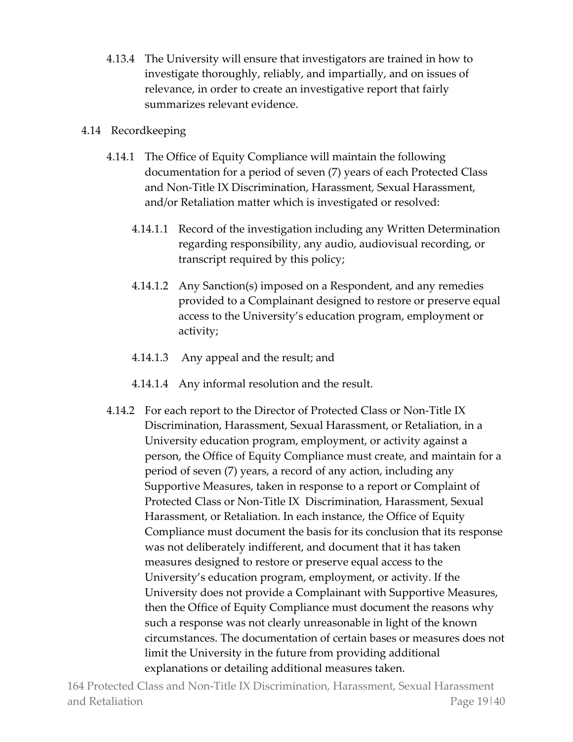4.13.4 The University will ensure that investigators are trained in how to investigate thoroughly, reliably, and impartially, and on issues of relevance, in order to create an investigative report that fairly summarizes relevant evidence.

## 4.14 Recordkeeping

- 4.14.1 The Office of Equity Compliance will maintain the following documentation for a period of seven (7) years of each Protected Class and Non-Title IX Discrimination, Harassment, Sexual Harassment, and/or Retaliation matter which is investigated or resolved:
	- 4.14.1.1 Record of the investigation including any Written Determination regarding responsibility, any audio, audiovisual recording, or transcript required by this policy;
	- 4.14.1.2 Any Sanction(s) imposed on a Respondent, and any remedies provided to a Complainant designed to restore or preserve equal access to the University's education program, employment or activity;
	- 4.14.1.3 Any appeal and the result; and
	- 4.14.1.4 Any informal resolution and the result.
- 4.14.2 For each report to the Director of Protected Class or Non-Title IX Discrimination, Harassment, Sexual Harassment, or Retaliation, in a University education program, employment, or activity against a person, the Office of Equity Compliance must create, and maintain for a period of seven (7) years, a record of any action, including any Supportive Measures, taken in response to a report or Complaint of Protected Class or Non-Title IX Discrimination, Harassment, Sexual Harassment, or Retaliation. In each instance, the Office of Equity Compliance must document the basis for its conclusion that its response was not deliberately indifferent, and document that it has taken measures designed to restore or preserve equal access to the University's education program, employment, or activity. If the University does not provide a Complainant with Supportive Measures, then the Office of Equity Compliance must document the reasons why such a response was not clearly unreasonable in light of the known circumstances. The documentation of certain bases or measures does not limit the University in the future from providing additional explanations or detailing additional measures taken.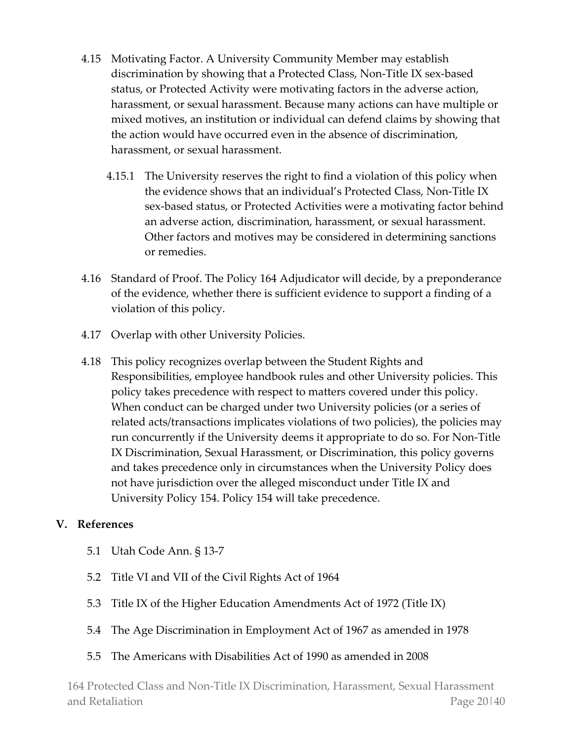- 4.15 Motivating Factor. A University Community Member may establish discrimination by showing that a Protected Class, Non-Title IX sex-based status, or Protected Activity were motivating factors in the adverse action, harassment, or sexual harassment. Because many actions can have multiple or mixed motives, an institution or individual can defend claims by showing that the action would have occurred even in the absence of discrimination, harassment, or sexual harassment.
	- 4.15.1 The University reserves the right to find a violation of this policy when the evidence shows that an individual's Protected Class, Non-Title IX sex-based status, or Protected Activities were a motivating factor behind an adverse action, discrimination, harassment, or sexual harassment. Other factors and motives may be considered in determining sanctions or remedies.
- 4.16 Standard of Proof. The Policy 164 Adjudicator will decide, by a preponderance of the evidence, whether there is sufficient evidence to support a finding of a violation of this policy.
- 4.17 Overlap with other University Policies.
- 4.18 This policy recognizes overlap between the Student Rights and Responsibilities, employee handbook rules and other University policies. This policy takes precedence with respect to matters covered under this policy. When conduct can be charged under two University policies (or a series of related acts/transactions implicates violations of two policies), the policies may run concurrently if the University deems it appropriate to do so. For Non-Title IX Discrimination, Sexual Harassment, or Discrimination, this policy governs and takes precedence only in circumstances when the University Policy does not have jurisdiction over the alleged misconduct under Title IX and University Policy 154. Policy 154 will take precedence.

## **V. References**

- 5.1 Utah Code Ann. § 13-7
- 5.2 Title VI and VII of the Civil Rights Act of 1964
- 5.3 Title IX of the Higher Education Amendments Act of 1972 (Title IX)
- 5.4 The Age Discrimination in Employment Act of 1967 as amended in 1978
- 5.5 The Americans with Disabilities Act of 1990 as amended in 2008

164 Protected Class and Non-Title IX Discrimination, Harassment, Sexual Harassment and Retaliation Page 20|40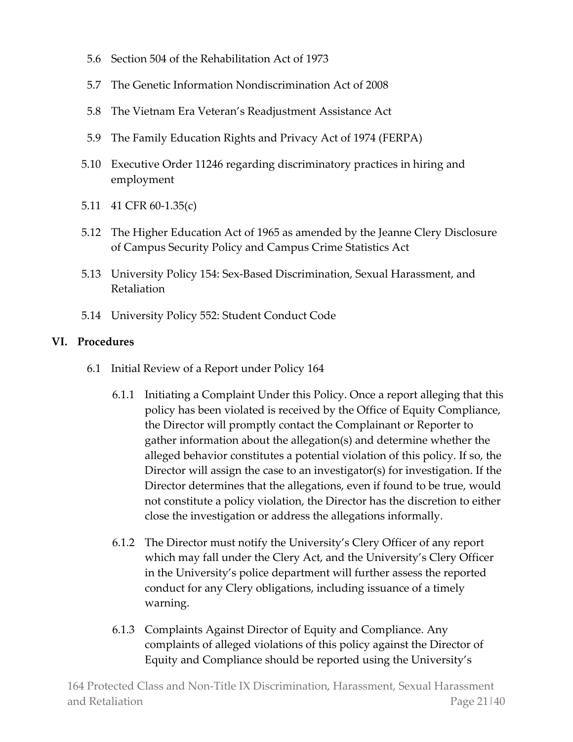- 5.6 Section 504 of the Rehabilitation Act of 1973
- 5.7 The Genetic Information Nondiscrimination Act of 2008
- 5.8 The Vietnam Era Veteran's Readjustment Assistance Act
- 5.9 The Family Education Rights and Privacy Act of 1974 (FERPA)
- 5.10 Executive Order 11246 regarding discriminatory practices in hiring and employment
- 5.11 41 CFR 60-1.35(c)
- 5.12 The Higher Education Act of 1965 as amended by the Jeanne Clery Disclosure of Campus Security Policy and Campus Crime Statistics Act
- 5.13 University Policy 154: Sex-Based Discrimination, Sexual Harassment, and Retaliation
- 5.14 University Policy 552: Student Conduct Code

#### **VI. Procedures**

- 6.1 Initial Review of a Report under Policy 164
	- 6.1.1 Initiating a Complaint Under this Policy. Once a report alleging that this policy has been violated is received by the Office of Equity Compliance, the Director will promptly contact the Complainant or Reporter to gather information about the allegation(s) and determine whether the alleged behavior constitutes a potential violation of this policy. If so, the Director will assign the case to an investigator(s) for investigation. If the Director determines that the allegations, even if found to be true, would not constitute a policy violation, the Director has the discretion to either close the investigation or address the allegations informally.
	- 6.1.2 The Director must notify the University's Clery Officer of any report which may fall under the Clery Act, and the University's Clery Officer in the University's police department will further assess the reported conduct for any Clery obligations, including issuance of a timely warning.
	- 6.1.3 Complaints Against Director of Equity and Compliance. Any complaints of alleged violations of this policy against the Director of Equity and Compliance should be reported using the University's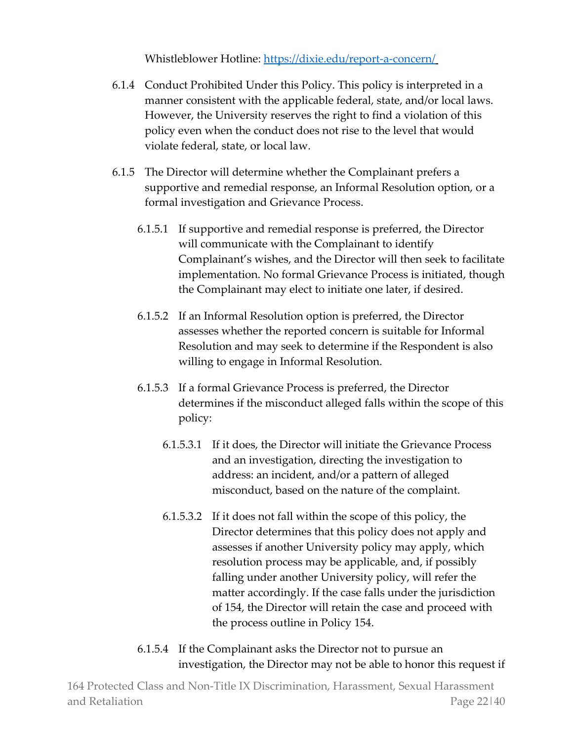Whistleblower Hotline:<https://dixie.edu/report-a-concern/>

- 6.1.4 Conduct Prohibited Under this Policy. This policy is interpreted in a manner consistent with the applicable federal, state, and/or local laws. However, the University reserves the right to find a violation of this policy even when the conduct does not rise to the level that would violate federal, state, or local law.
- 6.1.5 The Director will determine whether the Complainant prefers a supportive and remedial response, an Informal Resolution option, or a formal investigation and Grievance Process.
	- 6.1.5.1 If supportive and remedial response is preferred, the Director will communicate with the Complainant to identify Complainant's wishes, and the Director will then seek to facilitate implementation. No formal Grievance Process is initiated, though the Complainant may elect to initiate one later, if desired.
	- 6.1.5.2 If an Informal Resolution option is preferred, the Director assesses whether the reported concern is suitable for Informal Resolution and may seek to determine if the Respondent is also willing to engage in Informal Resolution.
	- 6.1.5.3 If a formal Grievance Process is preferred, the Director determines if the misconduct alleged falls within the scope of this policy:
		- 6.1.5.3.1 If it does, the Director will initiate the Grievance Process and an investigation, directing the investigation to address: an incident, and/or a pattern of alleged misconduct, based on the nature of the complaint.
		- 6.1.5.3.2 If it does not fall within the scope of this policy, the Director determines that this policy does not apply and assesses if another University policy may apply, which resolution process may be applicable, and, if possibly falling under another University policy, will refer the matter accordingly. If the case falls under the jurisdiction of 154, the Director will retain the case and proceed with the process outline in Policy 154.
	- 6.1.5.4 If the Complainant asks the Director not to pursue an investigation, the Director may not be able to honor this request if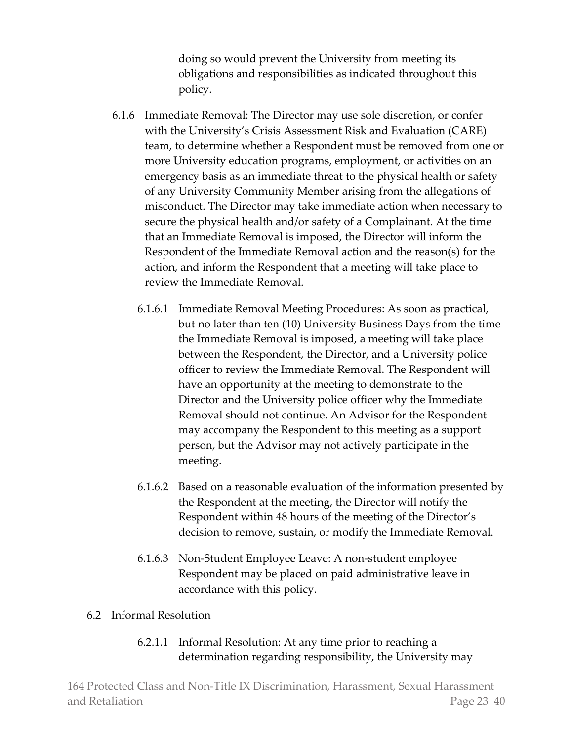doing so would prevent the University from meeting its obligations and responsibilities as indicated throughout this policy.

- 6.1.6 Immediate Removal: The Director may use sole discretion, or confer with the University's Crisis Assessment Risk and Evaluation (CARE) team, to determine whether a Respondent must be removed from one or more University education programs, employment, or activities on an emergency basis as an immediate threat to the physical health or safety of any University Community Member arising from the allegations of misconduct. The Director may take immediate action when necessary to secure the physical health and/or safety of a Complainant. At the time that an Immediate Removal is imposed, the Director will inform the Respondent of the Immediate Removal action and the reason(s) for the action, and inform the Respondent that a meeting will take place to review the Immediate Removal.
	- 6.1.6.1 Immediate Removal Meeting Procedures: As soon as practical, but no later than ten (10) University Business Days from the time the Immediate Removal is imposed, a meeting will take place between the Respondent, the Director, and a University police officer to review the Immediate Removal. The Respondent will have an opportunity at the meeting to demonstrate to the Director and the University police officer why the Immediate Removal should not continue. An Advisor for the Respondent may accompany the Respondent to this meeting as a support person, but the Advisor may not actively participate in the meeting.
	- 6.1.6.2 Based on a reasonable evaluation of the information presented by the Respondent at the meeting, the Director will notify the Respondent within 48 hours of the meeting of the Director's decision to remove, sustain, or modify the Immediate Removal.
	- 6.1.6.3 Non-Student Employee Leave: A non-student employee Respondent may be placed on paid administrative leave in accordance with this policy.

## 6.2 Informal Resolution

6.2.1.1 Informal Resolution: At any time prior to reaching a determination regarding responsibility, the University may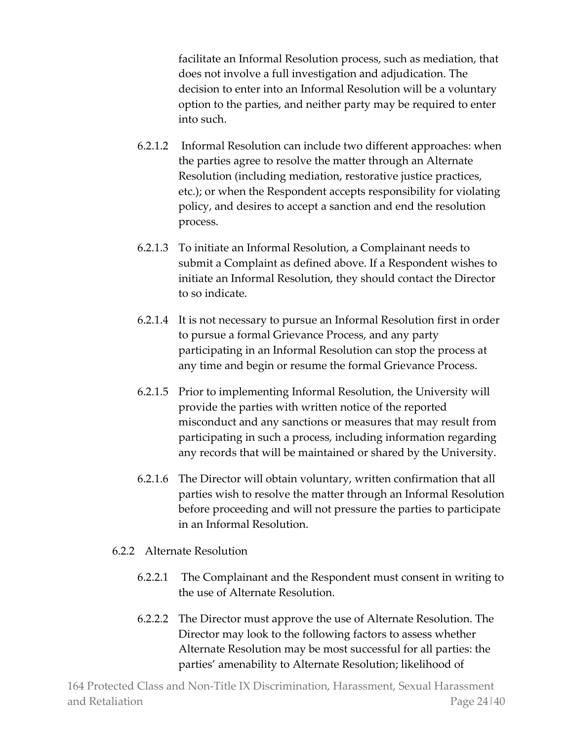facilitate an Informal Resolution process, such as mediation, that does not involve a full investigation and adjudication. The decision to enter into an Informal Resolution will be a voluntary option to the parties, and neither party may be required to enter into such.

- 6.2.1.2 Informal Resolution can include two different approaches: when the parties agree to resolve the matter through an Alternate Resolution (including mediation, restorative justice practices, etc.); or when the Respondent accepts responsibility for violating policy, and desires to accept a sanction and end the resolution process.
- 6.2.1.3 To initiate an Informal Resolution, a Complainant needs to submit a Complaint as defined above. If a Respondent wishes to initiate an Informal Resolution, they should contact the Director to so indicate.
- 6.2.1.4 It is not necessary to pursue an Informal Resolution first in order to pursue a formal Grievance Process, and any party participating in an Informal Resolution can stop the process at any time and begin or resume the formal Grievance Process.
- 6.2.1.5 Prior to implementing Informal Resolution, the University will provide the parties with written notice of the reported misconduct and any sanctions or measures that may result from participating in such a process, including information regarding any records that will be maintained or shared by the University.
- 6.2.1.6 The Director will obtain voluntary, written confirmation that all parties wish to resolve the matter through an Informal Resolution before proceeding and will not pressure the parties to participate in an Informal Resolution.

## 6.2.2 Alternate Resolution

- 6.2.2.1 The Complainant and the Respondent must consent in writing to the use of Alternate Resolution.
- 6.2.2.2 The Director must approve the use of Alternate Resolution. The Director may look to the following factors to assess whether Alternate Resolution may be most successful for all parties: the parties' amenability to Alternate Resolution; likelihood of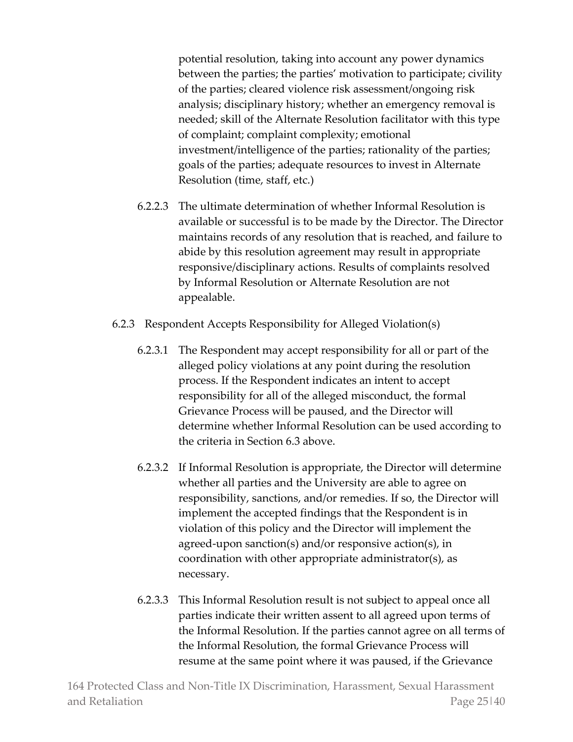potential resolution, taking into account any power dynamics between the parties; the parties' motivation to participate; civility of the parties; cleared violence risk assessment/ongoing risk analysis; disciplinary history; whether an emergency removal is needed; skill of the Alternate Resolution facilitator with this type of complaint; complaint complexity; emotional investment/intelligence of the parties; rationality of the parties; goals of the parties; adequate resources to invest in Alternate Resolution (time, staff, etc.)

- 6.2.2.3 The ultimate determination of whether Informal Resolution is available or successful is to be made by the Director. The Director maintains records of any resolution that is reached, and failure to abide by this resolution agreement may result in appropriate responsive/disciplinary actions. Results of complaints resolved by Informal Resolution or Alternate Resolution are not appealable.
- 6.2.3 Respondent Accepts Responsibility for Alleged Violation(s)
	- 6.2.3.1 The Respondent may accept responsibility for all or part of the alleged policy violations at any point during the resolution process. If the Respondent indicates an intent to accept responsibility for all of the alleged misconduct, the formal Grievance Process will be paused, and the Director will determine whether Informal Resolution can be used according to the criteria in Section 6.3 above.
	- 6.2.3.2 If Informal Resolution is appropriate, the Director will determine whether all parties and the University are able to agree on responsibility, sanctions, and/or remedies. If so, the Director will implement the accepted findings that the Respondent is in violation of this policy and the Director will implement the agreed-upon sanction(s) and/or responsive action(s), in coordination with other appropriate administrator(s), as necessary.
	- 6.2.3.3 This Informal Resolution result is not subject to appeal once all parties indicate their written assent to all agreed upon terms of the Informal Resolution. If the parties cannot agree on all terms of the Informal Resolution, the formal Grievance Process will resume at the same point where it was paused, if the Grievance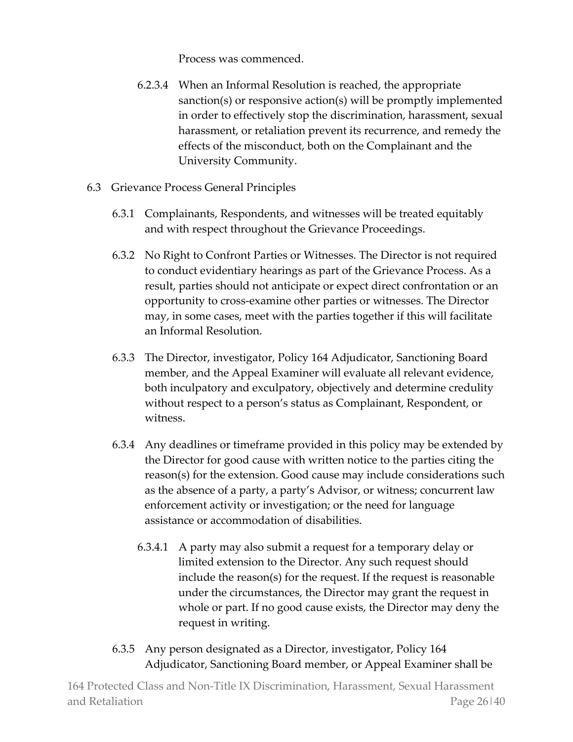Process was commenced.

- 6.2.3.4 When an Informal Resolution is reached, the appropriate sanction(s) or responsive action(s) will be promptly implemented in order to effectively stop the discrimination, harassment, sexual harassment, or retaliation prevent its recurrence, and remedy the effects of the misconduct, both on the Complainant and the University Community.
- 6.3 Grievance Process General Principles
	- 6.3.1 Complainants, Respondents, and witnesses will be treated equitably and with respect throughout the Grievance Proceedings.
	- 6.3.2 No Right to Confront Parties or Witnesses. The Director is not required to conduct evidentiary hearings as part of the Grievance Process. As a result, parties should not anticipate or expect direct confrontation or an opportunity to cross-examine other parties or witnesses. The Director may, in some cases, meet with the parties together if this will facilitate an Informal Resolution.
	- 6.3.3 The Director, investigator, Policy 164 Adjudicator, Sanctioning Board member, and the Appeal Examiner will evaluate all relevant evidence, both inculpatory and exculpatory, objectively and determine credulity without respect to a person's status as Complainant, Respondent, or witness.
	- 6.3.4 Any deadlines or timeframe provided in this policy may be extended by the Director for good cause with written notice to the parties citing the reason(s) for the extension. Good cause may include considerations such as the absence of a party, a party's Advisor, or witness; concurrent law enforcement activity or investigation; or the need for language assistance or accommodation of disabilities.
		- 6.3.4.1 A party may also submit a request for a temporary delay or limited extension to the Director. Any such request should include the reason(s) for the request. If the request is reasonable under the circumstances, the Director may grant the request in whole or part. If no good cause exists, the Director may deny the request in writing.
	- 6.3.5 Any person designated as a Director, investigator, Policy 164 Adjudicator, Sanctioning Board member, or Appeal Examiner shall be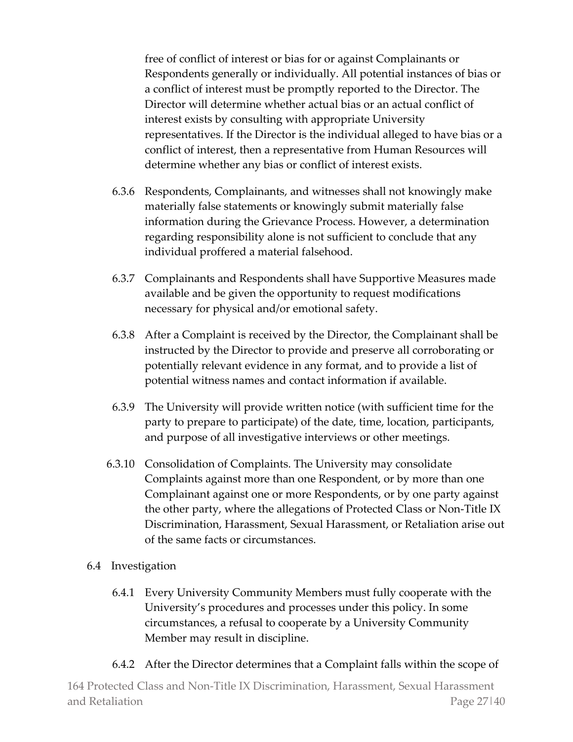free of conflict of interest or bias for or against Complainants or Respondents generally or individually. All potential instances of bias or a conflict of interest must be promptly reported to the Director. The Director will determine whether actual bias or an actual conflict of interest exists by consulting with appropriate University representatives. If the Director is the individual alleged to have bias or a conflict of interest, then a representative from Human Resources will determine whether any bias or conflict of interest exists.

- 6.3.6 Respondents, Complainants, and witnesses shall not knowingly make materially false statements or knowingly submit materially false information during the Grievance Process. However, a determination regarding responsibility alone is not sufficient to conclude that any individual proffered a material falsehood.
- 6.3.7 Complainants and Respondents shall have Supportive Measures made available and be given the opportunity to request modifications necessary for physical and/or emotional safety.
- 6.3.8 After a Complaint is received by the Director, the Complainant shall be instructed by the Director to provide and preserve all corroborating or potentially relevant evidence in any format, and to provide a list of potential witness names and contact information if available.
- 6.3.9 The University will provide written notice (with sufficient time for the party to prepare to participate) of the date, time, location, participants, and purpose of all investigative interviews or other meetings.
- 6.3.10 Consolidation of Complaints. The University may consolidate Complaints against more than one Respondent, or by more than one Complainant against one or more Respondents, or by one party against the other party, where the allegations of Protected Class or Non-Title IX Discrimination, Harassment, Sexual Harassment, or Retaliation arise out of the same facts or circumstances.
- 6.4 Investigation
	- 6.4.1 Every University Community Members must fully cooperate with the University's procedures and processes under this policy. In some circumstances, a refusal to cooperate by a University Community Member may result in discipline.
	- 6.4.2 After the Director determines that a Complaint falls within the scope of

164 Protected Class and Non-Title IX Discrimination, Harassment, Sexual Harassment and Retaliation **Page 27** and Retaliation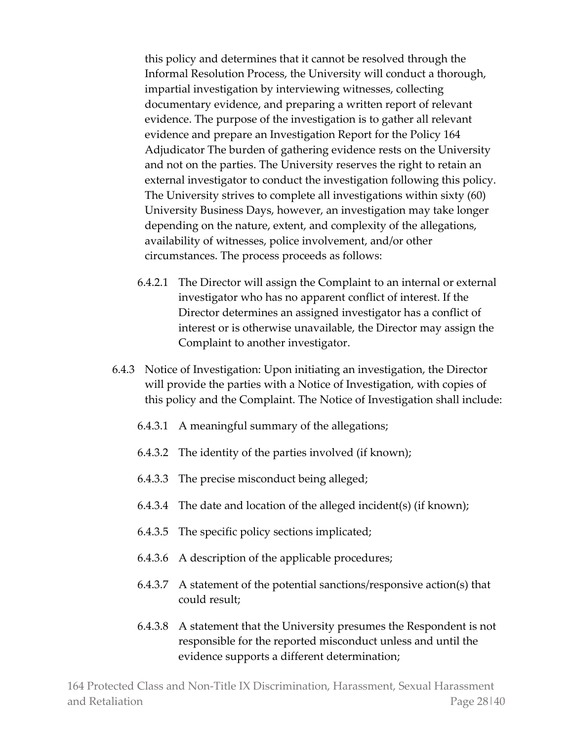this policy and determines that it cannot be resolved through the Informal Resolution Process, the University will conduct a thorough, impartial investigation by interviewing witnesses, collecting documentary evidence, and preparing a written report of relevant evidence. The purpose of the investigation is to gather all relevant evidence and prepare an Investigation Report for the Policy 164 Adjudicator The burden of gathering evidence rests on the University and not on the parties. The University reserves the right to retain an external investigator to conduct the investigation following this policy. The University strives to complete all investigations within sixty (60) University Business Days, however, an investigation may take longer depending on the nature, extent, and complexity of the allegations, availability of witnesses, police involvement, and/or other circumstances. The process proceeds as follows:

- 6.4.2.1 The Director will assign the Complaint to an internal or external investigator who has no apparent conflict of interest. If the Director determines an assigned investigator has a conflict of interest or is otherwise unavailable, the Director may assign the Complaint to another investigator.
- 6.4.3 Notice of Investigation: Upon initiating an investigation, the Director will provide the parties with a Notice of Investigation, with copies of this policy and the Complaint. The Notice of Investigation shall include:
	- 6.4.3.1 A meaningful summary of the allegations;
	- 6.4.3.2 The identity of the parties involved (if known);
	- 6.4.3.3 The precise misconduct being alleged;
	- 6.4.3.4 The date and location of the alleged incident(s) (if known);
	- 6.4.3.5 The specific policy sections implicated;
	- 6.4.3.6 A description of the applicable procedures;
	- 6.4.3.7 A statement of the potential sanctions/responsive action(s) that could result;
	- 6.4.3.8 A statement that the University presumes the Respondent is not responsible for the reported misconduct unless and until the evidence supports a different determination;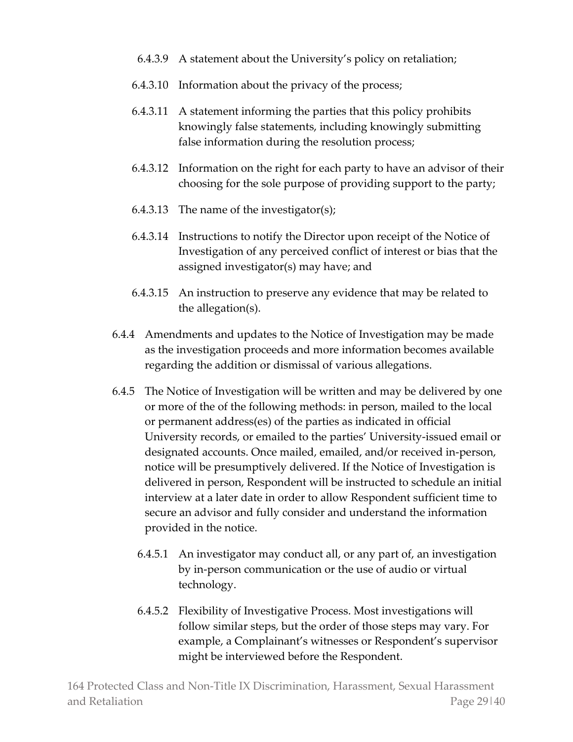- 6.4.3.9 A statement about the University's policy on retaliation;
- 6.4.3.10 Information about the privacy of the process;
- 6.4.3.11 A statement informing the parties that this policy prohibits knowingly false statements, including knowingly submitting false information during the resolution process;
- 6.4.3.12 Information on the right for each party to have an advisor of their choosing for the sole purpose of providing support to the party;
- 6.4.3.13 The name of the investigator(s);
- 6.4.3.14 Instructions to notify the Director upon receipt of the Notice of Investigation of any perceived conflict of interest or bias that the assigned investigator(s) may have; and
- 6.4.3.15 An instruction to preserve any evidence that may be related to the allegation(s).
- 6.4.4 Amendments and updates to the Notice of Investigation may be made as the investigation proceeds and more information becomes available regarding the addition or dismissal of various allegations.
- 6.4.5 The Notice of Investigation will be written and may be delivered by one or more of the of the following methods: in person, mailed to the local or permanent address(es) of the parties as indicated in official University records, or emailed to the parties' University-issued email or designated accounts. Once mailed, emailed, and/or received in-person, notice will be presumptively delivered. If the Notice of Investigation is delivered in person, Respondent will be instructed to schedule an initial interview at a later date in order to allow Respondent sufficient time to secure an advisor and fully consider and understand the information provided in the notice.
	- 6.4.5.1 An investigator may conduct all, or any part of, an investigation by in-person communication or the use of audio or virtual technology.
	- 6.4.5.2 Flexibility of Investigative Process. Most investigations will follow similar steps, but the order of those steps may vary. For example, a Complainant's witnesses or Respondent's supervisor might be interviewed before the Respondent.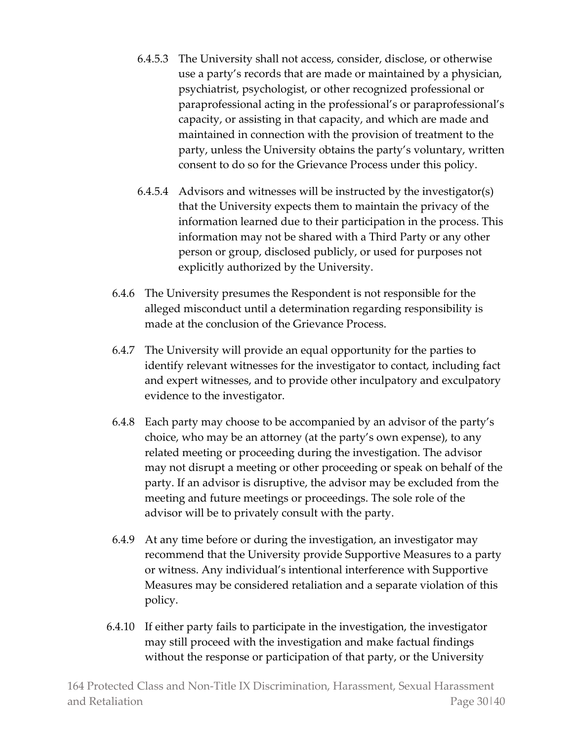- 6.4.5.3 The University shall not access, consider, disclose, or otherwise use a party's records that are made or maintained by a physician, psychiatrist, psychologist, or other recognized professional or paraprofessional acting in the professional's or paraprofessional's capacity, or assisting in that capacity, and which are made and maintained in connection with the provision of treatment to the party, unless the University obtains the party's voluntary, written consent to do so for the Grievance Process under this policy.
- 6.4.5.4 Advisors and witnesses will be instructed by the investigator(s) that the University expects them to maintain the privacy of the information learned due to their participation in the process. This information may not be shared with a Third Party or any other person or group, disclosed publicly, or used for purposes not explicitly authorized by the University.
- 6.4.6 The University presumes the Respondent is not responsible for the alleged misconduct until a determination regarding responsibility is made at the conclusion of the Grievance Process.
- 6.4.7 The University will provide an equal opportunity for the parties to identify relevant witnesses for the investigator to contact, including fact and expert witnesses, and to provide other inculpatory and exculpatory evidence to the investigator.
- 6.4.8 Each party may choose to be accompanied by an advisor of the party's choice, who may be an attorney (at the party's own expense), to any related meeting or proceeding during the investigation. The advisor may not disrupt a meeting or other proceeding or speak on behalf of the party. If an advisor is disruptive, the advisor may be excluded from the meeting and future meetings or proceedings. The sole role of the advisor will be to privately consult with the party.
- 6.4.9 At any time before or during the investigation, an investigator may recommend that the University provide Supportive Measures to a party or witness. Any individual's intentional interference with Supportive Measures may be considered retaliation and a separate violation of this policy.
- 6.4.10 If either party fails to participate in the investigation, the investigator may still proceed with the investigation and make factual findings without the response or participation of that party, or the University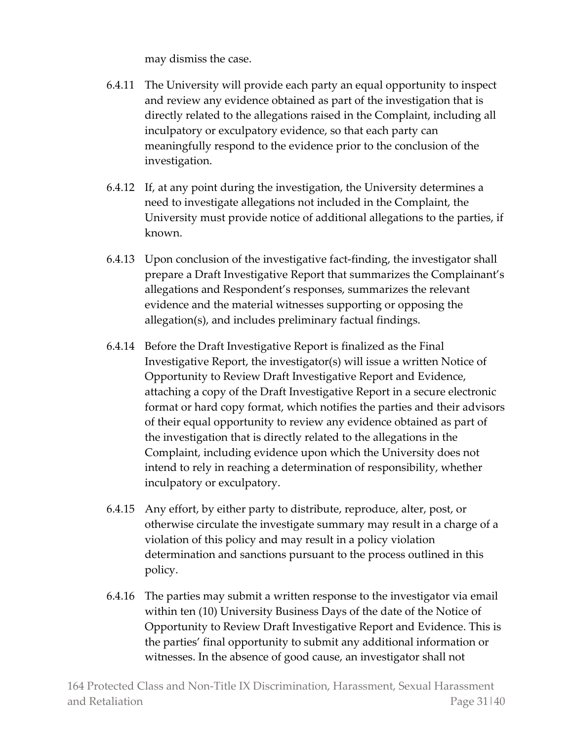may dismiss the case.

- 6.4.11 The University will provide each party an equal opportunity to inspect and review any evidence obtained as part of the investigation that is directly related to the allegations raised in the Complaint, including all inculpatory or exculpatory evidence, so that each party can meaningfully respond to the evidence prior to the conclusion of the investigation.
- 6.4.12 If, at any point during the investigation, the University determines a need to investigate allegations not included in the Complaint, the University must provide notice of additional allegations to the parties, if known.
- 6.4.13 Upon conclusion of the investigative fact-finding, the investigator shall prepare a Draft Investigative Report that summarizes the Complainant's allegations and Respondent's responses, summarizes the relevant evidence and the material witnesses supporting or opposing the allegation(s), and includes preliminary factual findings.
- 6.4.14 Before the Draft Investigative Report is finalized as the Final Investigative Report, the investigator(s) will issue a written Notice of Opportunity to Review Draft Investigative Report and Evidence, attaching a copy of the Draft Investigative Report in a secure electronic format or hard copy format, which notifies the parties and their advisors of their equal opportunity to review any evidence obtained as part of the investigation that is directly related to the allegations in the Complaint, including evidence upon which the University does not intend to rely in reaching a determination of responsibility, whether inculpatory or exculpatory.
- 6.4.15 Any effort, by either party to distribute, reproduce, alter, post, or otherwise circulate the investigate summary may result in a charge of a violation of this policy and may result in a policy violation determination and sanctions pursuant to the process outlined in this policy.
- 6.4.16 The parties may submit a written response to the investigator via email within ten (10) University Business Days of the date of the Notice of Opportunity to Review Draft Investigative Report and Evidence. This is the parties' final opportunity to submit any additional information or witnesses. In the absence of good cause, an investigator shall not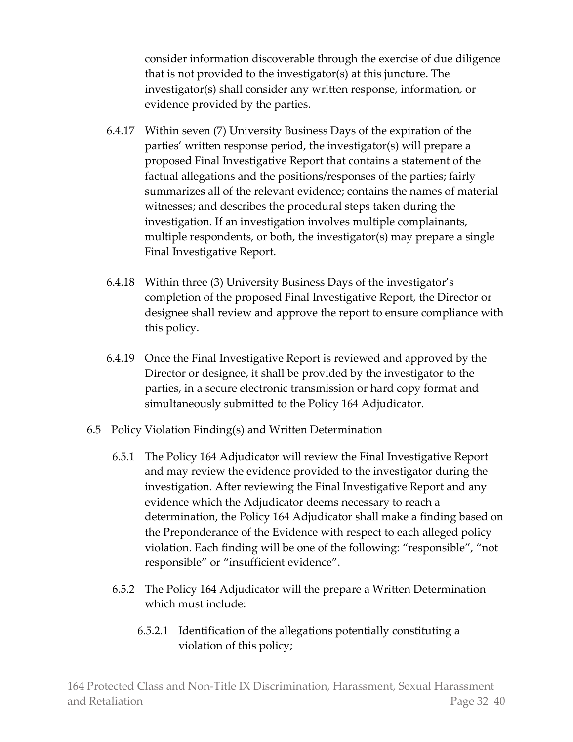consider information discoverable through the exercise of due diligence that is not provided to the investigator(s) at this juncture. The investigator(s) shall consider any written response, information, or evidence provided by the parties.

- 6.4.17 Within seven (7) University Business Days of the expiration of the parties' written response period, the investigator(s) will prepare a proposed Final Investigative Report that contains a statement of the factual allegations and the positions/responses of the parties; fairly summarizes all of the relevant evidence; contains the names of material witnesses; and describes the procedural steps taken during the investigation. If an investigation involves multiple complainants, multiple respondents, or both, the investigator(s) may prepare a single Final Investigative Report.
- 6.4.18 Within three (3) University Business Days of the investigator's completion of the proposed Final Investigative Report, the Director or designee shall review and approve the report to ensure compliance with this policy.
- 6.4.19 Once the Final Investigative Report is reviewed and approved by the Director or designee, it shall be provided by the investigator to the parties, in a secure electronic transmission or hard copy format and simultaneously submitted to the Policy 164 Adjudicator.
- 6.5 Policy Violation Finding(s) and Written Determination
	- 6.5.1 The Policy 164 Adjudicator will review the Final Investigative Report and may review the evidence provided to the investigator during the investigation. After reviewing the Final Investigative Report and any evidence which the Adjudicator deems necessary to reach a determination, the Policy 164 Adjudicator shall make a finding based on the Preponderance of the Evidence with respect to each alleged policy violation. Each finding will be one of the following: "responsible", "not responsible" or "insufficient evidence".
	- 6.5.2 The Policy 164 Adjudicator will the prepare a Written Determination which must include:
		- 6.5.2.1 Identification of the allegations potentially constituting a violation of this policy;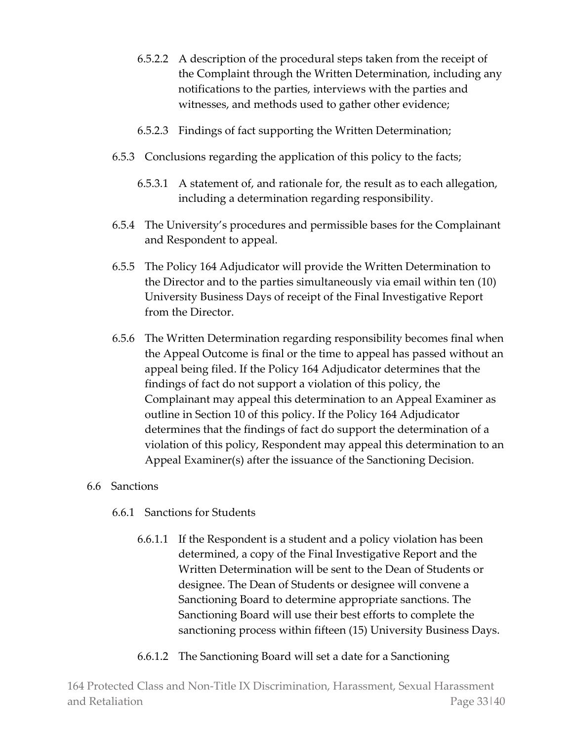- 6.5.2.2 A description of the procedural steps taken from the receipt of the Complaint through the Written Determination, including any notifications to the parties, interviews with the parties and witnesses, and methods used to gather other evidence;
- 6.5.2.3 Findings of fact supporting the Written Determination;
- 6.5.3 Conclusions regarding the application of this policy to the facts;
	- 6.5.3.1 A statement of, and rationale for, the result as to each allegation, including a determination regarding responsibility.
- 6.5.4 The University's procedures and permissible bases for the Complainant and Respondent to appeal.
- 6.5.5 The Policy 164 Adjudicator will provide the Written Determination to the Director and to the parties simultaneously via email within ten (10) University Business Days of receipt of the Final Investigative Report from the Director.
- 6.5.6 The Written Determination regarding responsibility becomes final when the Appeal Outcome is final or the time to appeal has passed without an appeal being filed. If the Policy 164 Adjudicator determines that the findings of fact do not support a violation of this policy, the Complainant may appeal this determination to an Appeal Examiner as outline in Section 10 of this policy. If the Policy 164 Adjudicator determines that the findings of fact do support the determination of a violation of this policy, Respondent may appeal this determination to an Appeal Examiner(s) after the issuance of the Sanctioning Decision.

## 6.6 Sanctions

- 6.6.1 Sanctions for Students
	- 6.6.1.1 If the Respondent is a student and a policy violation has been determined, a copy of the Final Investigative Report and the Written Determination will be sent to the Dean of Students or designee. The Dean of Students or designee will convene a Sanctioning Board to determine appropriate sanctions. The Sanctioning Board will use their best efforts to complete the sanctioning process within fifteen (15) University Business Days.
	- 6.6.1.2 The Sanctioning Board will set a date for a Sanctioning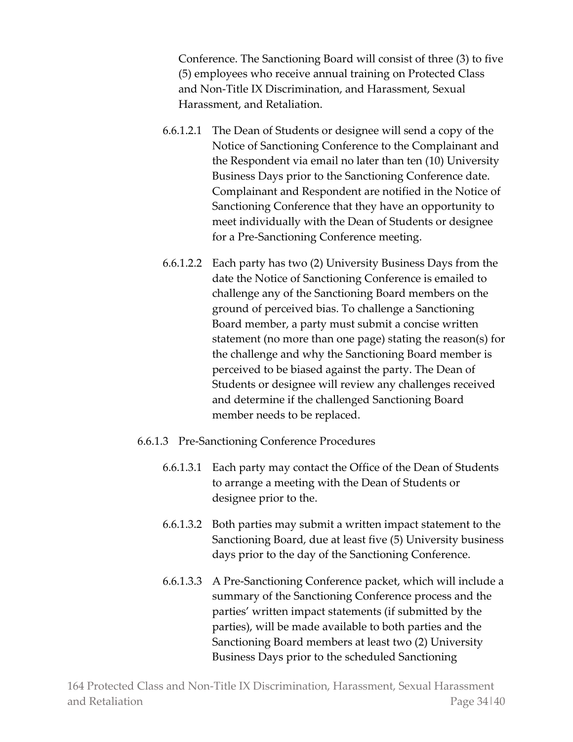Conference. The Sanctioning Board will consist of three (3) to five (5) employees who receive annual training on Protected Class and Non-Title IX Discrimination, and Harassment, Sexual Harassment, and Retaliation.

- 6.6.1.2.1 The Dean of Students or designee will send a copy of the Notice of Sanctioning Conference to the Complainant and the Respondent via email no later than ten (10) University Business Days prior to the Sanctioning Conference date. Complainant and Respondent are notified in the Notice of Sanctioning Conference that they have an opportunity to meet individually with the Dean of Students or designee for a Pre-Sanctioning Conference meeting.
- 6.6.1.2.2 Each party has two (2) University Business Days from the date the Notice of Sanctioning Conference is emailed to challenge any of the Sanctioning Board members on the ground of perceived bias. To challenge a Sanctioning Board member, a party must submit a concise written statement (no more than one page) stating the reason(s) for the challenge and why the Sanctioning Board member is perceived to be biased against the party. The Dean of Students or designee will review any challenges received and determine if the challenged Sanctioning Board member needs to be replaced.
- 6.6.1.3 Pre-Sanctioning Conference Procedures
	- 6.6.1.3.1 Each party may contact the Office of the Dean of Students to arrange a meeting with the Dean of Students or designee prior to the.
	- 6.6.1.3.2 Both parties may submit a written impact statement to the Sanctioning Board, due at least five (5) University business days prior to the day of the Sanctioning Conference.
	- 6.6.1.3.3 A Pre-Sanctioning Conference packet, which will include a summary of the Sanctioning Conference process and the parties' written impact statements (if submitted by the parties), will be made available to both parties and the Sanctioning Board members at least two (2) University Business Days prior to the scheduled Sanctioning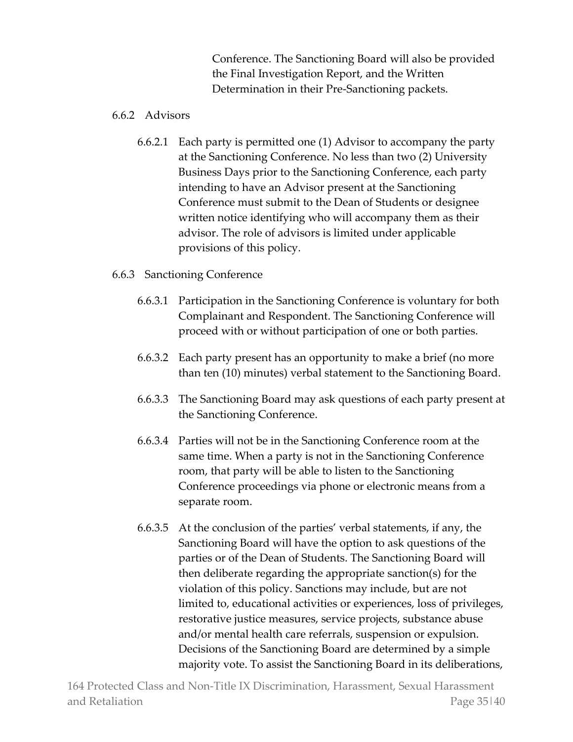Conference. The Sanctioning Board will also be provided the Final Investigation Report, and the Written Determination in their Pre-Sanctioning packets.

## 6.6.2 Advisors

6.6.2.1 Each party is permitted one (1) Advisor to accompany the party at the Sanctioning Conference. No less than two (2) University Business Days prior to the Sanctioning Conference, each party intending to have an Advisor present at the Sanctioning Conference must submit to the Dean of Students or designee written notice identifying who will accompany them as their advisor. The role of advisors is limited under applicable provisions of this policy.

# 6.6.3 Sanctioning Conference

- 6.6.3.1 Participation in the Sanctioning Conference is voluntary for both Complainant and Respondent. The Sanctioning Conference will proceed with or without participation of one or both parties.
- 6.6.3.2 Each party present has an opportunity to make a brief (no more than ten (10) minutes) verbal statement to the Sanctioning Board.
- 6.6.3.3 The Sanctioning Board may ask questions of each party present at the Sanctioning Conference.
- 6.6.3.4 Parties will not be in the Sanctioning Conference room at the same time. When a party is not in the Sanctioning Conference room, that party will be able to listen to the Sanctioning Conference proceedings via phone or electronic means from a separate room.
- 6.6.3.5 At the conclusion of the parties' verbal statements, if any, the Sanctioning Board will have the option to ask questions of the parties or of the Dean of Students. The Sanctioning Board will then deliberate regarding the appropriate sanction(s) for the violation of this policy. Sanctions may include, but are not limited to, educational activities or experiences, loss of privileges, restorative justice measures, service projects, substance abuse and/or mental health care referrals, suspension or expulsion. Decisions of the Sanctioning Board are determined by a simple majority vote. To assist the Sanctioning Board in its deliberations,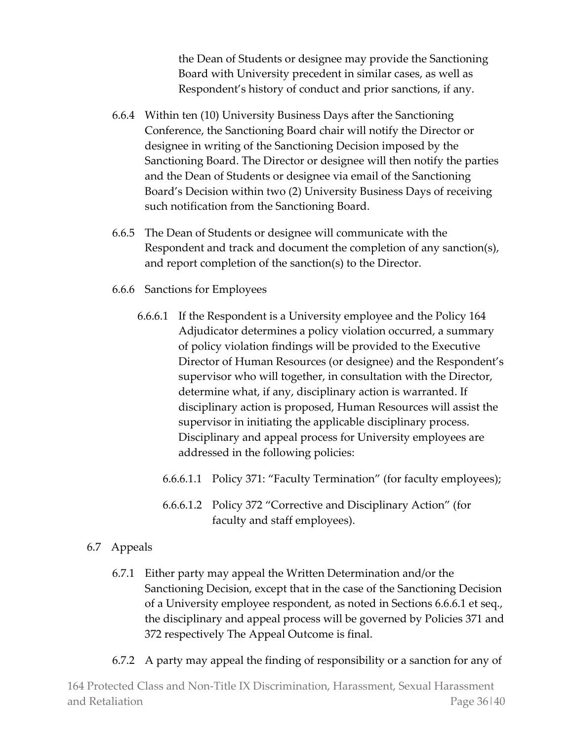the Dean of Students or designee may provide the Sanctioning Board with University precedent in similar cases, as well as Respondent's history of conduct and prior sanctions, if any.

- 6.6.4 Within ten (10) University Business Days after the Sanctioning Conference, the Sanctioning Board chair will notify the Director or designee in writing of the Sanctioning Decision imposed by the Sanctioning Board. The Director or designee will then notify the parties and the Dean of Students or designee via email of the Sanctioning Board's Decision within two (2) University Business Days of receiving such notification from the Sanctioning Board.
- 6.6.5 The Dean of Students or designee will communicate with the Respondent and track and document the completion of any sanction(s), and report completion of the sanction(s) to the Director.
- 6.6.6 Sanctions for Employees
	- 6.6.6.1 If the Respondent is a University employee and the Policy 164 Adjudicator determines a policy violation occurred, a summary of policy violation findings will be provided to the Executive Director of Human Resources (or designee) and the Respondent's supervisor who will together, in consultation with the Director, determine what, if any, disciplinary action is warranted. If disciplinary action is proposed, Human Resources will assist the supervisor in initiating the applicable disciplinary process. Disciplinary and appeal process for University employees are addressed in the following policies:
		- 6.6.6.1.1 Policy 371: "Faculty Termination" (for faculty employees);
		- 6.6.6.1.2 Policy 372 "Corrective and Disciplinary Action" (for faculty and staff employees).

## 6.7 Appeals

- 6.7.1 Either party may appeal the Written Determination and/or the Sanctioning Decision, except that in the case of the Sanctioning Decision of a University employee respondent, as noted in Sections 6.6.6.1 et seq., the disciplinary and appeal process will be governed by Policies 371 and 372 respectively The Appeal Outcome is final.
- 6.7.2 A party may appeal the finding of responsibility or a sanction for any of

164 Protected Class and Non-Title IX Discrimination, Harassment, Sexual Harassment and Retaliation Page 36|40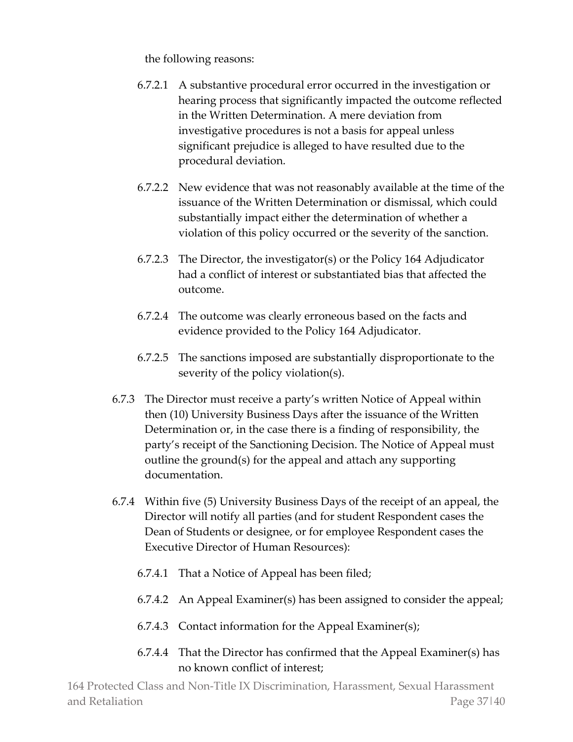the following reasons:

- 6.7.2.1 A substantive procedural error occurred in the investigation or hearing process that significantly impacted the outcome reflected in the Written Determination. A mere deviation from investigative procedures is not a basis for appeal unless significant prejudice is alleged to have resulted due to the procedural deviation.
- 6.7.2.2 New evidence that was not reasonably available at the time of the issuance of the Written Determination or dismissal, which could substantially impact either the determination of whether a violation of this policy occurred or the severity of the sanction.
- 6.7.2.3 The Director, the investigator(s) or the Policy 164 Adjudicator had a conflict of interest or substantiated bias that affected the outcome.
- 6.7.2.4 The outcome was clearly erroneous based on the facts and evidence provided to the Policy 164 Adjudicator.
- 6.7.2.5 The sanctions imposed are substantially disproportionate to the severity of the policy violation(s).
- 6.7.3 The Director must receive a party's written Notice of Appeal within then (10) University Business Days after the issuance of the Written Determination or, in the case there is a finding of responsibility, the party's receipt of the Sanctioning Decision. The Notice of Appeal must outline the ground(s) for the appeal and attach any supporting documentation.
- 6.7.4 Within five (5) University Business Days of the receipt of an appeal, the Director will notify all parties (and for student Respondent cases the Dean of Students or designee, or for employee Respondent cases the Executive Director of Human Resources):
	- 6.7.4.1 That a Notice of Appeal has been filed;
	- 6.7.4.2 An Appeal Examiner(s) has been assigned to consider the appeal;
	- 6.7.4.3 Contact information for the Appeal Examiner(s);
	- 6.7.4.4 That the Director has confirmed that the Appeal Examiner(s) has no known conflict of interest;

164 Protected Class and Non-Title IX Discrimination, Harassment, Sexual Harassment and Retaliation **Page 37|40**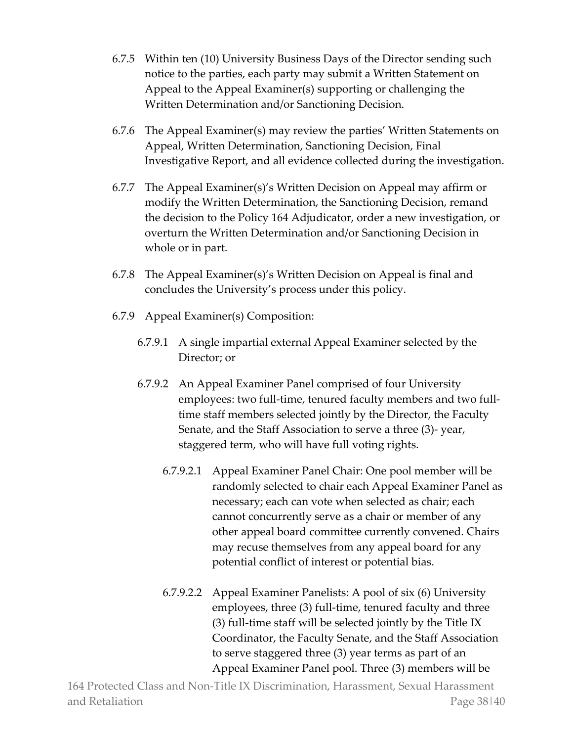- 6.7.5 Within ten (10) University Business Days of the Director sending such notice to the parties, each party may submit a Written Statement on Appeal to the Appeal Examiner(s) supporting or challenging the Written Determination and/or Sanctioning Decision.
- 6.7.6 The Appeal Examiner(s) may review the parties' Written Statements on Appeal, Written Determination, Sanctioning Decision, Final Investigative Report, and all evidence collected during the investigation.
- 6.7.7 The Appeal Examiner(s)'s Written Decision on Appeal may affirm or modify the Written Determination, the Sanctioning Decision, remand the decision to the Policy 164 Adjudicator, order a new investigation, or overturn the Written Determination and/or Sanctioning Decision in whole or in part.
- 6.7.8 The Appeal Examiner(s)'s Written Decision on Appeal is final and concludes the University's process under this policy.
- 6.7.9 Appeal Examiner(s) Composition:
	- 6.7.9.1 A single impartial external Appeal Examiner selected by the Director; or
	- 6.7.9.2 An Appeal Examiner Panel comprised of four University employees: two full-time, tenured faculty members and two fulltime staff members selected jointly by the Director, the Faculty Senate, and the Staff Association to serve a three (3)- year, staggered term, who will have full voting rights.
		- 6.7.9.2.1 Appeal Examiner Panel Chair: One pool member will be randomly selected to chair each Appeal Examiner Panel as necessary; each can vote when selected as chair; each cannot concurrently serve as a chair or member of any other appeal board committee currently convened. Chairs may recuse themselves from any appeal board for any potential conflict of interest or potential bias.
		- 6.7.9.2.2 Appeal Examiner Panelists: A pool of six (6) University employees, three (3) full-time, tenured faculty and three (3) full-time staff will be selected jointly by the Title IX Coordinator, the Faculty Senate, and the Staff Association to serve staggered three (3) year terms as part of an Appeal Examiner Panel pool. Three (3) members will be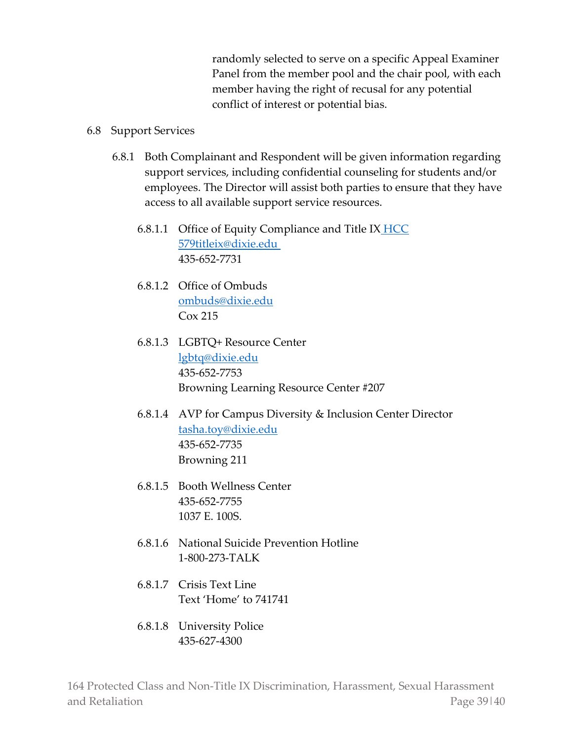randomly selected to serve on a specific Appeal Examiner Panel from the member pool and the chair pool, with each member having the right of recusal for any potential conflict of interest or potential bias.

#### 6.8 Support Services

- 6.8.1 Both Complainant and Respondent will be given information regarding support services, including confidential counseling for students and/or employees. The Director will assist both parties to ensure that they have access to all available support service resources.
	- 6.8.1.1 Office of Equity Compliance and Title IX **HCC** 57[9titleix@dixie.edu](mailto:titleix@dixie.edu%C2%A0) 435-652-7731
	- 6.8.1.2 Office of Ombuds [ombuds@dixie.edu](mailto:ombuds@dixie.edu) Cox 215
	- 6.8.1.3 LGBTQ+ Resource Center [lgbtq@dixie.edu](mailto:lgbtq@dixie.edu) 435-652-7753 Browning Learning Resource Center #207
	- 6.8.1.4 AVP for Campus Diversity & Inclusion Center Director [tasha.toy@dixie.edu](mailto:tasha.toy@dixie.edu) 435-652-7735 Browning 211
	- 6.8.1.5 Booth Wellness Center 435-652-7755 1037 E. 100S.
	- 6.8.1.6 National Suicide Prevention Hotline 1-800-273-TALK
	- 6.8.1.7 Crisis Text Line Text 'Home' to 741741
	- 6.8.1.8 University Police 435-627-4300